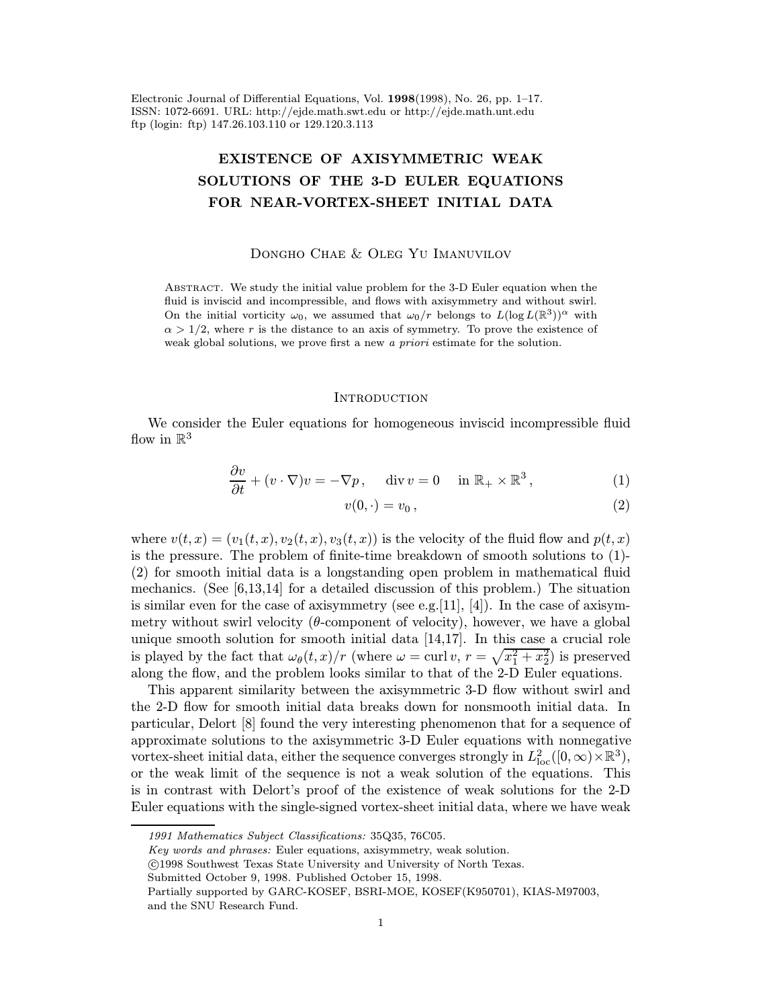Electronic Journal of Differential Equations, Vol. 1998(1998), No. 26, pp. 1–17. ISSN: 1072-6691. URL: http://ejde.math.swt.edu or http://ejde.math.unt.edu ftp (login: ftp) 147.26.103.110 or 129.120.3.113

# EXISTENCE OF AXISYMMETRIC WEAK SOLUTIONS OF THE 3-D EULER EQUATIONS FOR NEAR-VORTEX-SHEET INITIAL DATA

## Dongho Chae & Oleg Yu Imanuvilov

Abstract. We study the initial value problem for the 3-D Euler equation when the fluid is inviscid and incompressible, and flows with axisymmetry and without swirl. On the initial vorticity  $\omega_0$ , we assumed that  $\omega_0/r$  belongs to  $L(\log L(\mathbb{R}^3))^{\alpha}$  with  $\alpha > 1/2$ , where r is the distance to an axis of symmetry. To prove the existence of weak global solutions, we prove first a new a *priori* estimate for the solution.

### **INTRODUCTION**

We consider the Euler equations for homogeneous inviscid incompressible fluid flow in  $\mathbb{R}^3$ 

$$
\frac{\partial v}{\partial t} + (v \cdot \nabla)v = -\nabla p, \quad \text{div } v = 0 \quad \text{in } \mathbb{R}_+ \times \mathbb{R}^3,
$$
 (1)

$$
v(0,\cdot)=v_0\,,\tag{2}
$$

where  $v(t, x)=(v_1(t, x), v_2(t, x), v_3(t, x))$  is the velocity of the fluid flow and  $p(t, x)$ is the pressure. The problem of finite-time breakdown of smooth solutions to (1)- (2) for smooth initial data is a longstanding open problem in mathematical fluid mechanics. (See  $[6,13,14]$  for a detailed discussion of this problem.) The situation is similar even for the case of axisymmetry (see e.g. [11], [4]). In the case of axisymmetry without swirl velocity  $(\theta$ -component of velocity), however, we have a global unique smooth solution for smooth initial data [14,17]. In this case a crucial role is played by the fact that  $\omega_{\theta}(t, x)/r$  (where  $\omega = \text{curl } v, r = \sqrt{x_1^2 + x_2^2}$ ) is preserved along the flow, and the problem looks similar to that of the 2-D Euler equations.

This apparent similarity between the axisymmetric 3-D flow without swirl and the 2-D flow for smooth initial data breaks down for nonsmooth initial data. In particular, Delort [8] found the very interesting phenomenon that for a sequence of approximate solutions to the axisymmetric 3-D Euler equations with nonnegative vortex-sheet initial data, either the sequence converges strongly in  $L^2_{loc}([0,\infty)\times\mathbb{R}^3)$ , or the weak limit of the sequence is not a weak solution of the equations. This is in contrast with Delort's proof of the existence of weak solutions for the 2-D Euler equations with the single-signed vortex-sheet initial data, where we have weak

<sup>1991</sup> Mathematics Subject Classifications: 35Q35, 76C05.

Key words and phrases: Euler equations, axisymmetry, weak solution.

c 1998 Southwest Texas State University and University of North Texas.

Submitted October 9, 1998. Published October 15, 1998.

Partially supported by GARC-KOSEF, BSRI-MOE, KOSEF(K950701), KIAS-M97003, and the SNU Research Fund.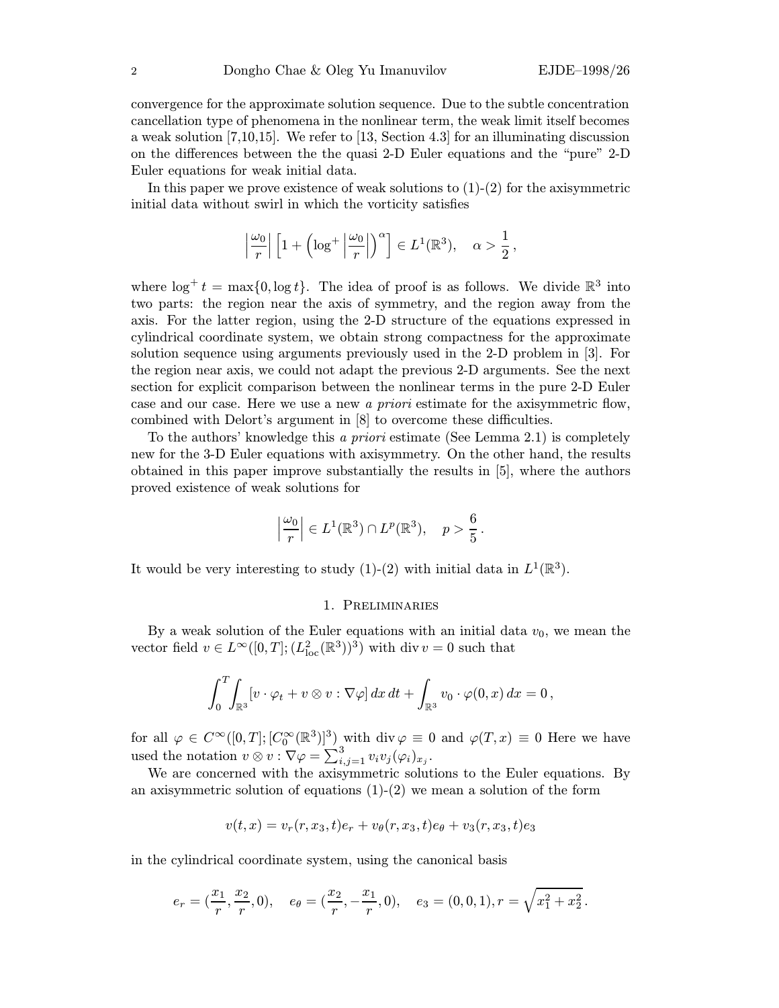convergence for the approximate solution sequence. Due to the subtle concentration cancellation type of phenomena in the nonlinear term, the weak limit itself becomes a weak solution [7,10,15]. We refer to [13, Section 4.3] for an illuminating discussion on the differences between the the quasi 2-D Euler equations and the "pure" 2-D Euler equations for weak initial data.

In this paper we prove existence of weak solutions to  $(1)-(2)$  for the axisymmetric initial data without swirl in which the vorticity satisfies

$$
\left|\frac{\omega_0}{r}\right| \left[1+\left(\log^+\left|\frac{\omega_0}{r}\right|\right)^\alpha\right] \in L^1(\mathbb{R}^3), \quad \alpha > \frac{1}{2}\,,
$$

where  $\log^+ t = \max\{0, \log t\}$ . The idea of proof is as follows. We divide  $\mathbb{R}^3$  into two parts: the region near the axis of symmetry, and the region away from the axis. For the latter region, using the 2-D structure of the equations expressed in cylindrical coordinate system, we obtain strong compactness for the approximate solution sequence using arguments previously used in the 2-D problem in [3]. For the region near axis, we could not adapt the previous 2-D arguments. See the next section for explicit comparison between the nonlinear terms in the pure 2-D Euler case and our case. Here we use a new a priori estimate for the axisymmetric flow, combined with Delort's argument in [8] to overcome these difficulties.

To the authors' knowledge this a priori estimate (See Lemma 2.1) is completely new for the 3-D Euler equations with axisymmetry. On the other hand, the results obtained in this paper improve substantially the results in [5], where the authors proved existence of weak solutions for

$$
\left|\frac{\omega_0}{r}\right| \in L^1(\mathbb{R}^3) \cap L^p(\mathbb{R}^3), \quad p > \frac{6}{5}.
$$

It would be very interesting to study (1)-(2) with initial data in  $L^1(\mathbb{R}^3)$ .

#### 1. Preliminaries

By a weak solution of the Euler equations with an initial data  $v_0$ , we mean the vector field  $v \in L^{\infty}([0,T];(L^2_{loc}(\mathbb{R}^3))$ <sup>3</sup>) with div  $v = 0$  such that

$$
\int_0^T\!\!\int_{\mathbb{R}^3} \left[v\cdot\varphi_t+v\otimes v:\nabla\varphi\right]dx\,dt+\int_{\mathbb{R}^3}v_0\cdot\varphi(0,x)\,dx=0\,,
$$

for all  $\varphi \in C^{\infty}([0,T]; [C_0^{\infty}(\mathbb{R}^3)]^3)$  with div  $\varphi \equiv 0$  and  $\varphi(T,x) \equiv 0$  Here we have used the notation  $v \otimes v : \nabla \varphi = \sum_{i,j=1}^3 v_i v_j (\varphi_i)_{x_j}$ .

We are concerned with the axisymmetric solutions to the Euler equations. By an axisymmetric solution of equations  $(1)-(2)$  we mean a solution of the form

$$
v(t,x) = v_r(r, x_3, t)e_r + v_\theta(r, x_3, t)e_\theta + v_3(r, x_3, t)e_3
$$

in the cylindrical coordinate system, using the canonical basis

$$
e_r=(\frac{x_1}{r},\frac{x_2}{r},0),\quad e_\theta=(\frac{x_2}{r},-\frac{x_1}{r},0),\quad e_3=(0,0,1), r=\sqrt{x_1^2+x_2^2}\,.
$$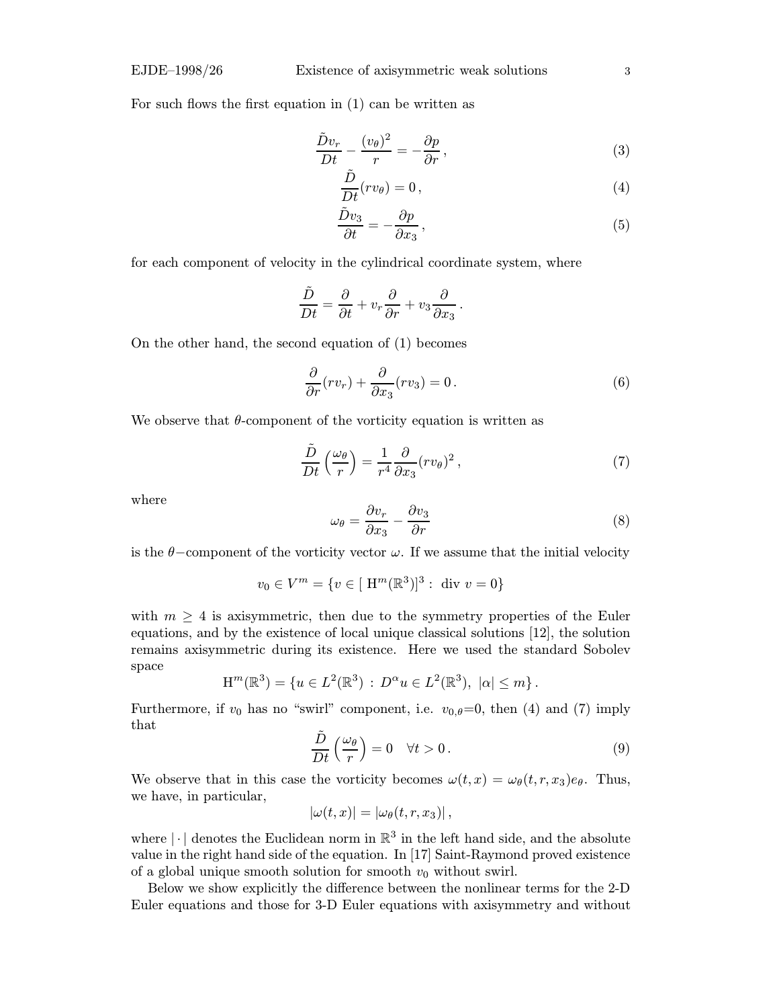For such flows the first equation in (1) can be written as

$$
\frac{\tilde{D}v_r}{Dt} - \frac{(v_\theta)^2}{r} = -\frac{\partial p}{\partial r},\tag{3}
$$

$$
\frac{\tilde{D}}{Dt}(rv_{\theta}) = 0, \qquad (4)
$$

$$
\frac{\tilde{D}v_3}{\partial t} = -\frac{\partial p}{\partial x_3},\tag{5}
$$

for each component of velocity in the cylindrical coordinate system, where

$$
\frac{\tilde{D}}{Dt} = \frac{\partial}{\partial t} + v_r \frac{\partial}{\partial r} + v_3 \frac{\partial}{\partial x_3}.
$$

On the other hand, the second equation of (1) becomes

$$
\frac{\partial}{\partial r}(rv_r) + \frac{\partial}{\partial x_3}(rv_3) = 0.
$$
\n(6)

We observe that  $\theta$ -component of the vorticity equation is written as

$$
\frac{\tilde{D}}{Dt}\left(\frac{\omega_{\theta}}{r}\right) = \frac{1}{r^4} \frac{\partial}{\partial x_3} (rv_{\theta})^2 ,\qquad (7)
$$

where

$$
\omega_{\theta} = \frac{\partial v_r}{\partial x_3} - \frac{\partial v_3}{\partial r} \tag{8}
$$

is the  $\theta$ –component of the vorticity vector  $\omega$ . If we assume that the initial velocity

$$
v_0 \in V^m = \{ v \in [H^m(\mathbb{R}^3)]^3 : \text{ div } v = 0 \}
$$

with  $m \geq 4$  is axisymmetric, then due to the symmetry properties of the Euler equations, and by the existence of local unique classical solutions [12], the solution remains axisymmetric during its existence. Here we used the standard Sobolev space

$$
H^m(\mathbb{R}^3) = \{ u \in L^2(\mathbb{R}^3) : D^{\alpha} u \in L^2(\mathbb{R}^3), \ |\alpha| \le m \}.
$$

Furthermore, if  $v_0$  has no "swirl" component, i.e.  $v_{0,\theta}=0$ , then (4) and (7) imply that

$$
\frac{\tilde{D}}{Dt}\left(\frac{\omega_{\theta}}{r}\right) = 0 \quad \forall t > 0.
$$
\n(9)

We observe that in this case the vorticity becomes  $\omega(t, x) = \omega_{\theta}(t, r, x_3)e_{\theta}$ . Thus, we have, in particular,

$$
|\omega(t,x)| = |\omega_{\theta}(t,r,x_3)|,
$$

where  $|\cdot|$  denotes the Euclidean norm in  $\mathbb{R}^3$  in the left hand side, and the absolute value in the right hand side of the equation. In [17] Saint-Raymond proved existence of a global unique smooth solution for smooth  $v_0$  without swirl.

Below we show explicitly the difference between the nonlinear terms for the 2-D Euler equations and those for 3-D Euler equations with axisymmetry and without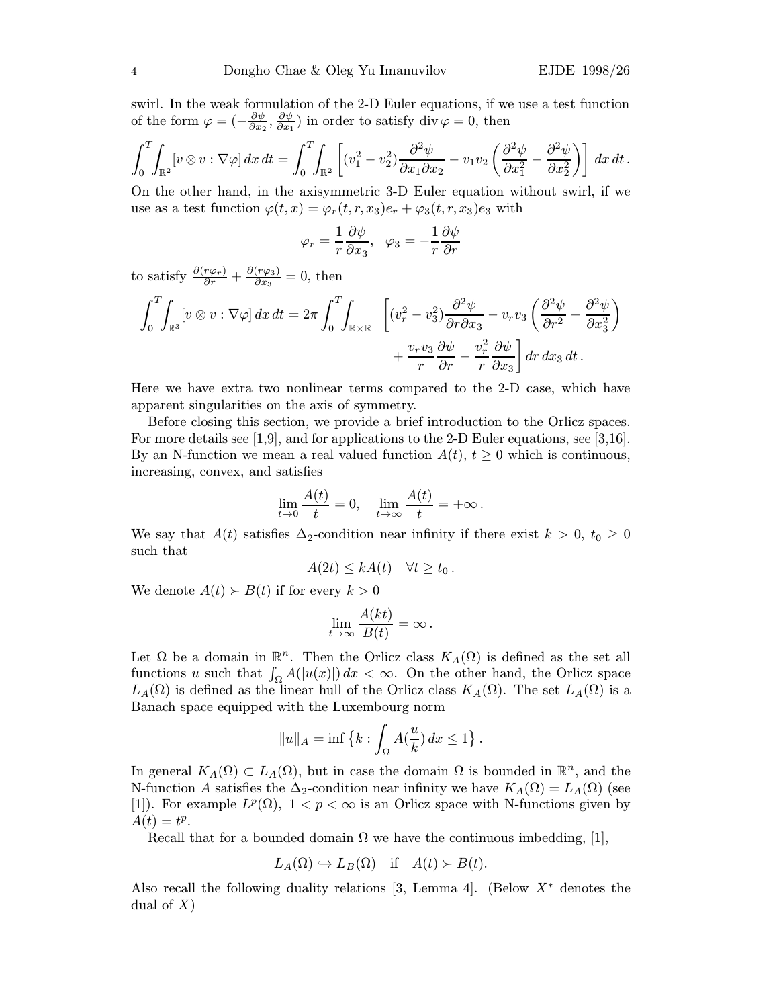swirl. In the weak formulation of the 2-D Euler equations, if we use a test function of the form  $\varphi = \left(-\frac{\partial \psi}{\partial x_2}, \frac{\partial \psi}{\partial x_1}\right)$  in order to satisfy div  $\varphi = 0$ , then

$$
\int_0^T \int_{\mathbb{R}^2} \left[ v \otimes v : \nabla \varphi \right] dx dt = \int_0^T \int_{\mathbb{R}^2} \left[ (v_1^2 - v_2^2) \frac{\partial^2 \psi}{\partial x_1 \partial x_2} - v_1 v_2 \left( \frac{\partial^2 \psi}{\partial x_1^2} - \frac{\partial^2 \psi}{\partial x_2^2} \right) \right] dx dt.
$$

On the other hand, in the axisymmetric 3-D Euler equation without swirl, if we use as a test function  $\varphi(t,x) = \varphi_r(t,r,x_3)e_r + \varphi_3(t,r,x_3)e_3$  with

$$
\varphi_r = \frac{1}{r} \frac{\partial \psi}{\partial x_3}, \quad \varphi_3 = -\frac{1}{r} \frac{\partial \psi}{\partial r}
$$

to satisfy  $\frac{\partial (r\varphi_r)}{\partial r} + \frac{\partial (r\varphi_3)}{\partial x_3} = 0$ , then

$$
\int_0^T \int_{\mathbb{R}^3} [v \otimes v : \nabla \varphi] \, dx \, dt = 2\pi \int_0^T \int_{\mathbb{R} \times \mathbb{R}_+} \left[ (v_r^2 - v_3^2) \frac{\partial^2 \psi}{\partial r \partial x_3} - v_r v_3 \left( \frac{\partial^2 \psi}{\partial r^2} - \frac{\partial^2 \psi}{\partial x_3^2} \right) \right. \\ \left. + \frac{v_r v_3}{r} \frac{\partial \psi}{\partial r} - \frac{v_r^2}{r} \frac{\partial \psi}{\partial x_3} \right] dr \, dx_3 \, dt \, .
$$

Here we have extra two nonlinear terms compared to the 2-D case, which have apparent singularities on the axis of symmetry.

Before closing this section, we provide a brief introduction to the Orlicz spaces. For more details see [1,9], and for applications to the 2-D Euler equations, see [3,16]. By an N-function we mean a real valued function  $A(t)$ ,  $t \geq 0$  which is continuous, increasing, convex, and satisfies

$$
\lim_{t \to 0} \frac{A(t)}{t} = 0, \quad \lim_{t \to \infty} \frac{A(t)}{t} = +\infty.
$$

We say that  $A(t)$  satisfies  $\Delta_2$ -condition near infinity if there exist  $k > 0$ ,  $t_0 \geq 0$ such that

$$
A(2t) \leq kA(t) \quad \forall t \geq t_0.
$$

We denote  $A(t) \succ B(t)$  if for every  $k > 0$ 

$$
\lim_{t \to \infty} \frac{A(kt)}{B(t)} = \infty.
$$

Let  $\Omega$  be a domain in  $\mathbb{R}^n$ . Then the Orlicz class  $K_A(\Omega)$  is defined as the set all functions u such that  $\int_{\Omega} A(|u(x)|) dx < \infty$ . On the other hand, the Orlicz space  $L_A(\Omega)$  is defined as the linear hull of the Orlicz class  $K_A(\Omega)$ . The set  $L_A(\Omega)$  is a Banach space equipped with the Luxembourg norm

$$
||u||_A = \inf \left\{ k : \int_{\Omega} A(\frac{u}{k}) dx \le 1 \right\}.
$$

In general  $K_A(\Omega) \subset L_A(\Omega)$ , but in case the domain  $\Omega$  is bounded in  $\mathbb{R}^n$ , and the N-function A satisfies the  $\Delta_2$ -condition near infinity we have  $K_A(\Omega) = L_A(\Omega)$  (see [1]). For example  $L^p(\Omega)$ ,  $1 < p < \infty$  is an Orlicz space with N-functions given by  $\ddot{A}(t)=t^p.$ 

Recall that for a bounded domain  $\Omega$  we have the continuous imbedding, [1],

$$
L_A(\Omega) \hookrightarrow L_B(\Omega)
$$
 if  $A(t) > B(t)$ .

Also recall the following duality relations [3, Lemma 4]. (Below  $X^*$  denotes the dual of  $X$ )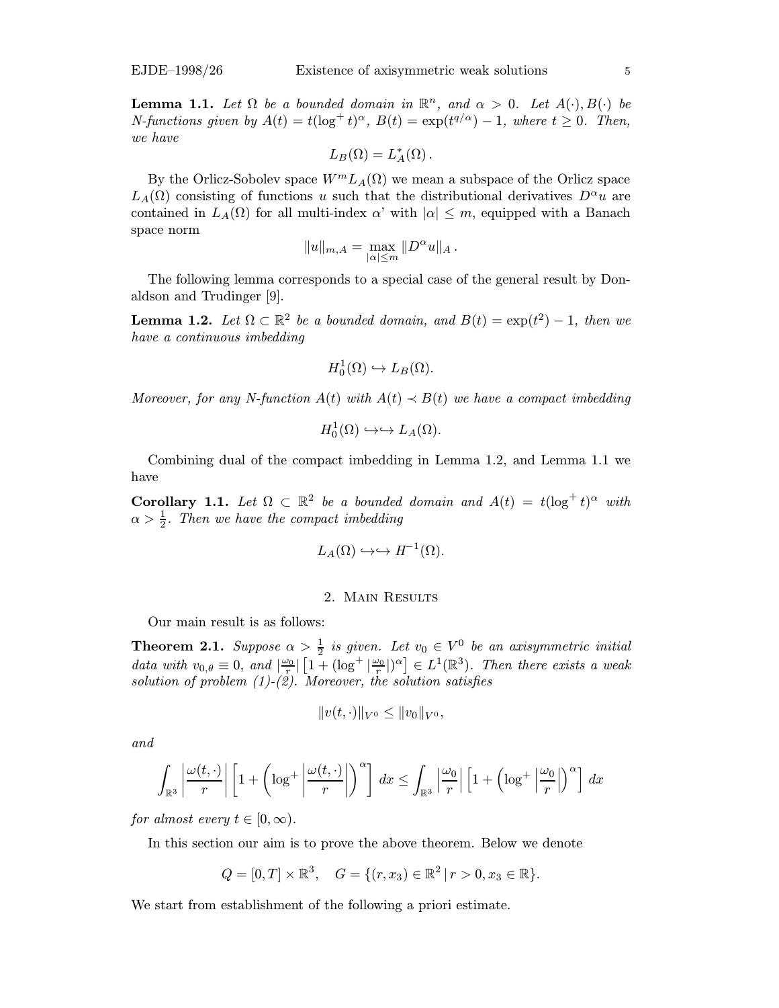**Lemma 1.1.** Let  $\Omega$  be a bounded domain in  $\mathbb{R}^n$ , and  $\alpha > 0$ . Let  $A(\cdot), B(\cdot)$  be N-functions given by  $A(t) = t(\log^+ t)^\alpha$ ,  $B(t) = \exp(t^{q/\alpha}) - 1$ , where  $t \ge 0$ . Then, we have

$$
L_B(\Omega) = L_A^*(\Omega).
$$

By the Orlicz-Sobolev space  $W^m L_A(\Omega)$  we mean a subspace of the Orlicz space  $L_A(\Omega)$  consisting of functions u such that the distributional derivatives  $D^{\alpha}u$  are contained in  $L_A(\Omega)$  for all multi-index  $\alpha'$  with  $|\alpha| \leq m$ , equipped with a Banach space norm

$$
||u||_{m,A} = \max_{|\alpha| \le m} ||D^{\alpha}u||_A.
$$

The following lemma corresponds to a special case of the general result by Donaldson and Trudinger [9].

**Lemma 1.2.** Let  $\Omega \subset \mathbb{R}^2$  be a bounded domain, and  $B(t) = \exp(t^2) - 1$ , then we have a continuous imbedding

$$
H_0^1(\Omega) \hookrightarrow L_B(\Omega).
$$

Moreover, for any N-function  $A(t)$  with  $A(t) \prec B(t)$  we have a compact imbedding

$$
H^1_0(\Omega)\hookrightarrow\hookrightarrow L_A(\Omega).
$$

Combining dual of the compact imbedding in Lemma 1.2, and Lemma 1.1 we have

Corollary 1.1. Let  $\Omega \subset \mathbb{R}^2$  be a bounded domain and  $A(t) = t(\log^+ t)^\alpha$  with  $\alpha > \frac{1}{2}$ . Then we have the compact imbedding

$$
L_A(\Omega)\hookrightarrow\hookrightarrow H^{-1}(\Omega).
$$

## 2. Main Results

Our main result is as follows:

**Theorem 2.1.** Suppose  $\alpha > \frac{1}{2}$  is given. Let  $v_0 \in V^0$  be an axisymmetric initial data with  $v_{0,\theta} \equiv 0$ , and  $\left| \frac{\omega_0}{r} \right| \left[ 1 + (\log^+ \left| \frac{\omega_0}{r} \right|)^{\alpha} \right] \in L^1(\mathbb{R}^3)$ . Then there exists a weak solution of problem  $(1)-(2)$ . Moreover, the solution satisfies

$$
||v(t,\cdot)||_{V^0}\leq ||v_0||_{V^0},
$$

and

$$
\int_{\mathbb{R}^3} \left| \frac{\omega(t, \cdot)}{r} \right| \left[ 1 + \left( \log^+ \left| \frac{\omega(t, \cdot)}{r} \right| \right)^\alpha \right] dx \le \int_{\mathbb{R}^3} \left| \frac{\omega_0}{r} \right| \left[ 1 + \left( \log^+ \left| \frac{\omega_0}{r} \right| \right)^\alpha \right] dx
$$

for almost every  $t \in [0, \infty)$ .

In this section our aim is to prove the above theorem. Below we denote

$$
Q = [0, T] \times \mathbb{R}^3, \quad G = \{ (r, x_3) \in \mathbb{R}^2 \mid r > 0, x_3 \in \mathbb{R} \}.
$$

We start from establishment of the following a priori estimate.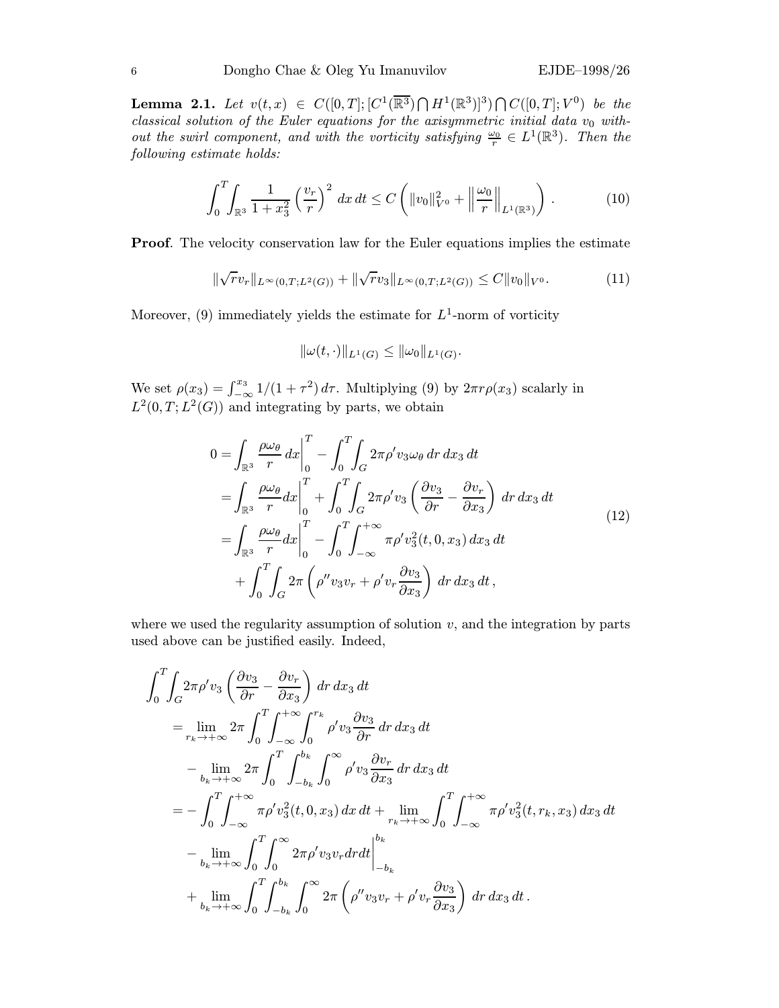**Lemma 2.1.** Let  $v(t, x) \in C([0, T]; [C^1(\overline{\mathbb{R}^3}) \cap H^1(\mathbb{R}^3)]^3) \cap C([0, T]; V^0)$  be the classical solution of the Euler equations for the axisymmetric initial data  $v_0$  without the swirl component, and with the vorticity satisfying  $\frac{\omega_0}{r} \in L^1(\mathbb{R}^3)$ . Then the following estimate holds:

$$
\int_0^T \int_{\mathbb{R}^3} \frac{1}{1+x_3^2} \left(\frac{v_r}{r}\right)^2 dx dt \le C \left( \|v_0\|_{V^0}^2 + \left\|\frac{\omega_0}{r}\right\|_{L^1(\mathbb{R}^3)} \right). \tag{10}
$$

Proof. The velocity conservation law for the Euler equations implies the estimate

$$
\|\sqrt{r}v_r\|_{L^{\infty}(0,T;L^2(G))} + \|\sqrt{r}v_3\|_{L^{\infty}(0,T;L^2(G))} \leq C\|v_0\|_{V^0}.
$$
\n(11)

Moreover, (9) immediately yields the estimate for  $L^1$ -norm of vorticity

$$
\|\omega(t,\cdot)\|_{L^1(G)} \le \|\omega_0\|_{L^1(G)}.
$$

We set  $\rho(x_3) = \int_{-\infty}^{x_3} 1/(1 + \tau^2) d\tau$ . Multiplying (9) by  $2\pi r \rho(x_3)$  scalarly in  $L^2(0,T;L^2(G))$  and integrating by parts, we obtain

$$
0 = \int_{\mathbb{R}^3} \frac{\rho \omega_\theta}{r} dx \Big|_0^T - \int_0^T \int_G 2\pi \rho' v_3 \omega_\theta dr dx_3 dt
$$
  
\n
$$
= \int_{\mathbb{R}^3} \frac{\rho \omega_\theta}{r} dx \Big|_0^T + \int_0^T \int_G 2\pi \rho' v_3 \left( \frac{\partial v_3}{\partial r} - \frac{\partial v_r}{\partial x_3} \right) dr dx_3 dt
$$
  
\n
$$
= \int_{\mathbb{R}^3} \frac{\rho \omega_\theta}{r} dx \Big|_0^T - \int_0^T \int_{-\infty}^{+\infty} \pi \rho' v_3^2(t, 0, x_3) dx_3 dt
$$
  
\n
$$
+ \int_0^T \int_G 2\pi \left( \rho'' v_3 v_r + \rho' v_r \frac{\partial v_3}{\partial x_3} \right) dr dx_3 dt,
$$
\n(12)

where we used the regularity assumption of solution  $v$ , and the integration by parts used above can be justified easily. Indeed,

$$
\int_{0}^{T} \int_{G} 2\pi \rho' v_{3} \left( \frac{\partial v_{3}}{\partial r} - \frac{\partial v_{r}}{\partial x_{3}} \right) dr dx_{3} dt
$$
\n
$$
= \lim_{r_{k} \to +\infty} 2\pi \int_{0}^{T} \int_{-\infty}^{+\infty} \int_{0}^{r_{k}} \rho' v_{3} \frac{\partial v_{3}}{\partial r} dr dx_{3} dt
$$
\n
$$
- \lim_{b_{k} \to +\infty} 2\pi \int_{0}^{T} \int_{-b_{k}}^{b_{k}} \int_{0}^{\infty} \rho' v_{3} \frac{\partial v_{r}}{\partial x_{3}} dr dx_{3} dt
$$
\n
$$
= - \int_{0}^{T} \int_{-\infty}^{+\infty} \pi \rho' v_{3}^{2}(t, 0, x_{3}) dx dt + \lim_{r_{k} \to +\infty} \int_{0}^{T} \int_{-\infty}^{+\infty} \pi \rho' v_{3}^{2}(t, r_{k}, x_{3}) dx_{3} dt
$$
\n
$$
- \lim_{b_{k} \to +\infty} \int_{0}^{T} \int_{0}^{\infty} 2\pi \rho' v_{3} v_{r} dr dt \Big|_{-b_{k}}^{b_{k}}
$$
\n
$$
+ \lim_{b_{k} \to +\infty} \int_{0}^{T} \int_{-b_{k}}^{b_{k}} \int_{0}^{\infty} 2\pi \left( \rho'' v_{3} v_{r} + \rho' v_{r} \frac{\partial v_{3}}{\partial x_{3}} \right) dr dx_{3} dt.
$$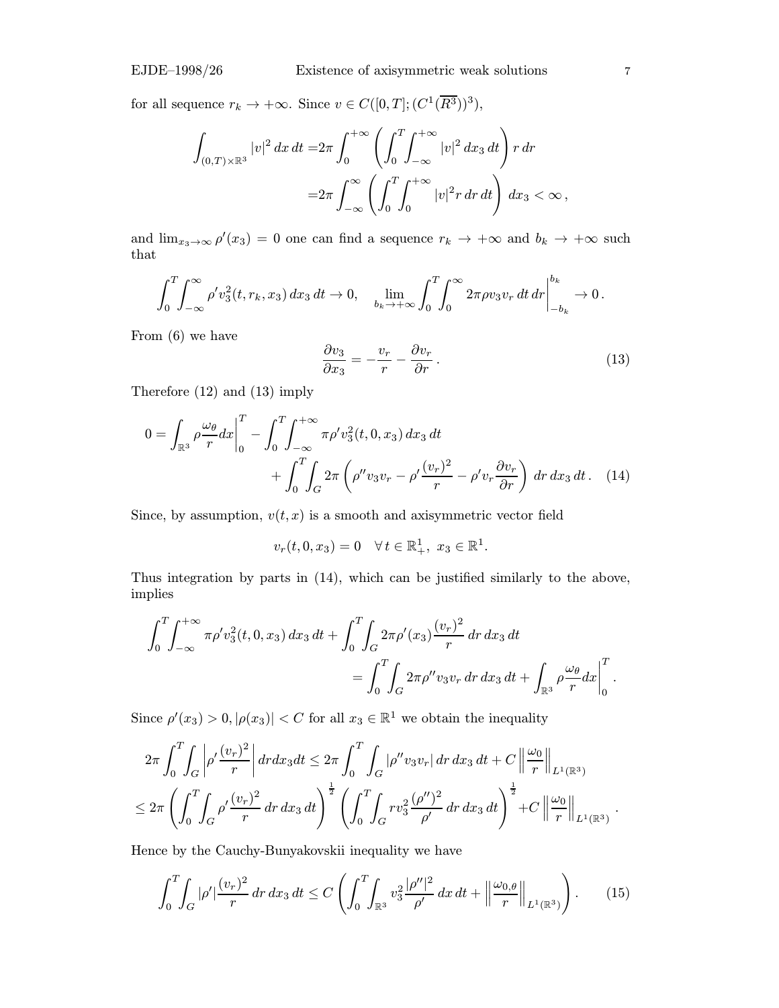for all sequence  $r_k \to +\infty$ . Since  $v \in C([0, T]; (C^1(\overline{R^3}))^3)$ ,

$$
\int_{(0,T)\times\mathbb{R}^3} |v|^2 dx dt = 2\pi \int_0^{+\infty} \left( \int_0^T \int_{-\infty}^{+\infty} |v|^2 dx_3 dt \right) r dr
$$
  
=  $2\pi \int_{-\infty}^{\infty} \left( \int_0^T \int_0^{+\infty} |v|^2 r dr dt \right) dx_3 < \infty$ ,

and  $\lim_{x_3 \to \infty} \rho'(x_3) = 0$  one can find a sequence  $r_k \to +\infty$  and  $b_k \to +\infty$  such that

$$
\int_0^T \int_{-\infty}^{\infty} \rho' v_3^2(t, r_k, x_3) \, dx_3 \, dt \to 0, \quad \lim_{b_k \to +\infty} \int_0^T \int_0^{\infty} 2\pi \rho v_3 v_r \, dt \, dr \bigg|_{-b_k}^{b_k} \to 0.
$$

From (6) we have

$$
\frac{\partial v_3}{\partial x_3} = -\frac{v_r}{r} - \frac{\partial v_r}{\partial r}.
$$
\n(13)

Therefore (12) and (13) imply

$$
0 = \int_{\mathbb{R}^3} \rho \frac{\omega_\theta}{r} dx \Big|_0^T - \int_0^T \int_{-\infty}^{+\infty} \pi \rho' v_3^2(t, 0, x_3) dx_3 dt + \int_0^T \int_G 2\pi \left( \rho'' v_3 v_r - \rho' \frac{(v_r)^2}{r} - \rho' v_r \frac{\partial v_r}{\partial r} \right) dr dx_3 dt. \quad (14)
$$

Since, by assumption,  $v(t, x)$  is a smooth and axisymmetric vector field

$$
v_r(t,0,x_3) = 0 \quad \forall \, t \in \mathbb{R}^1_+, \ x_3 \in \mathbb{R}^1.
$$

Thus integration by parts in (14), which can be justified similarly to the above, implies

$$
\int_0^T \int_{-\infty}^{+\infty} \pi \rho' v_3^2(t, 0, x_3) dx_3 dt + \int_0^T \int_G 2\pi \rho' (x_3) \frac{(v_r)^2}{r} dr dx_3 dt
$$
  
= 
$$
\int_0^T \int_G 2\pi \rho'' v_3 v_r dr dx_3 dt + \int_{\mathbb{R}^3} \rho \frac{\omega_\theta}{r} dx \Big|_0^T.
$$

Since  $\rho'(x_3) > 0, |\rho(x_3)| < C$  for all  $x_3 \in \mathbb{R}^1$  we obtain the inequality

$$
2\pi \int_0^T \int_G \left| \rho' \frac{(v_r)^2}{r} \right| dr dx_3 dt \leq 2\pi \int_0^T \int_G |\rho'' v_3 v_r| dr dx_3 dt + C \left\| \frac{\omega_0}{r} \right\|_{L^1(\mathbb{R}^3)} \leq 2\pi \left( \int_0^T \int_G \rho' \frac{(v_r)^2}{r} dr dx_3 dt \right)^{\frac{1}{2}} \left( \int_0^T \int_G r v_3^2 \frac{(\rho'')^2}{\rho'} dr dx_3 dt \right)^{\frac{1}{2}} + C \left\| \frac{\omega_0}{r} \right\|_{L^1(\mathbb{R}^3)}.
$$

Hence by the Cauchy-Bunyakovskii inequality we have

$$
\int_0^T \int_G |\rho'| \frac{(v_r)^2}{r} dr dx_3 dt \le C \left( \int_0^T \int_{\mathbb{R}^3} v_3^2 \frac{|\rho''|^2}{\rho'} dx dt + \left\| \frac{\omega_{0,\theta}}{r} \right\|_{L^1(\mathbb{R}^3)} \right). \tag{15}
$$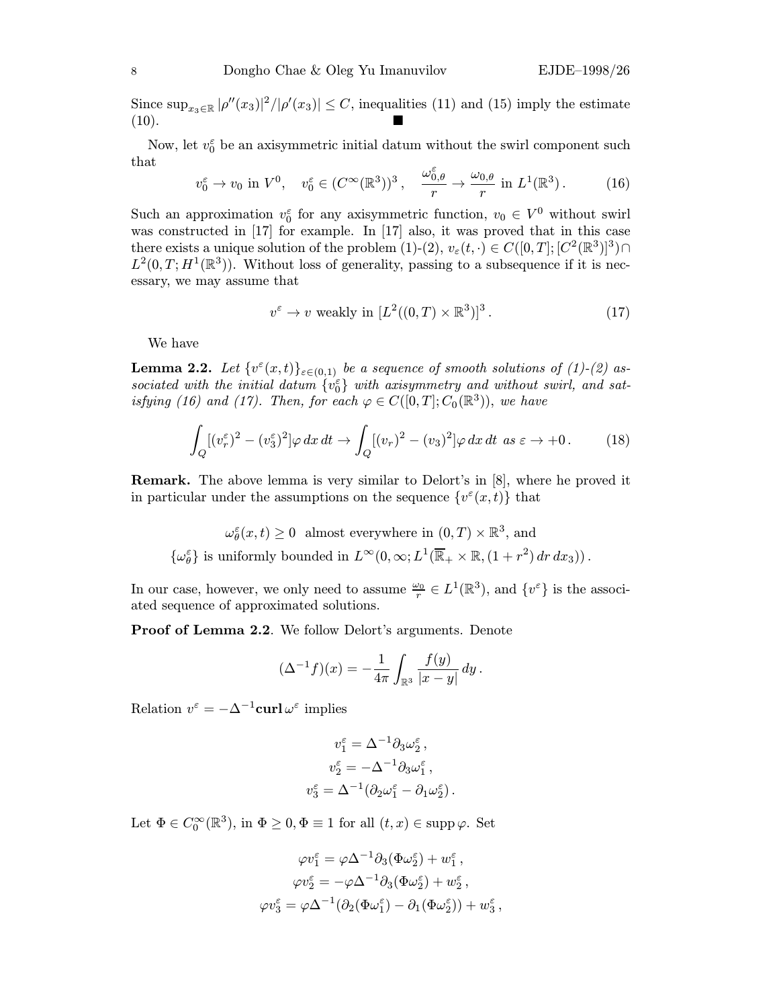Since  $\sup_{x_3 \in \mathbb{R}} |\rho''(x_3)|^2/|\rho'(x_3)| \leq C$ , inequalities (11) and (15) imply the estimate (10).

Now, let  $v_0^{\varepsilon}$  be an axisymmetric initial datum without the swirl component such that

$$
v_0^{\varepsilon} \to v_0 \text{ in } V^0, \quad v_0^{\varepsilon} \in (C^{\infty}(\mathbb{R}^3))^3, \quad \frac{\omega_{0,\theta}^{\varepsilon}}{r} \to \frac{\omega_{0,\theta}}{r} \text{ in } L^1(\mathbb{R}^3). \tag{16}
$$

Such an approximation  $v_0^{\varepsilon}$  for any axisymmetric function,  $v_0 \in V^0$  without swirl was constructed in [17] for example. In [17] also, it was proved that in this case there exists a unique solution of the problem (1)-(2),  $v_{\varepsilon}(t, \cdot) \in C([0,T]; [C^2(\mathbb{R}^3)]^3) \cap$  $L^2(0,T;H^1(\mathbb{R}^3))$ . Without loss of generality, passing to a subsequence if it is necessary, we may assume that

$$
v^{\varepsilon} \to v \text{ weakly in } [L^{2}((0, T) \times \mathbb{R}^{3})]^{3}. \tag{17}
$$

We have

**Lemma 2.2.** Let  $\{v^{\varepsilon}(x,t)\}_{{\varepsilon}\in(0,1)}$  be a sequence of smooth solutions of (1)-(2) associated with the initial datum  $\{v_0^{\varepsilon}\}\$  with axisymmetry and without swirl, and satisfying (16) and (17). Then, for each  $\varphi \in C([0,T]; C_0(\mathbb{R}^3))$ , we have

$$
\int_{Q} [(v_r^{\varepsilon})^2 - (v_3^{\varepsilon})^2] \varphi \, dx \, dt \to \int_{Q} [(v_r)^2 - (v_3)^2] \varphi \, dx \, dt \, \text{ as } \varepsilon \to +0 \,. \tag{18}
$$

Remark. The above lemma is very similar to Delort's in [8], where he proved it in particular under the assumptions on the sequence  $\{v^{\varepsilon}(x,t)\}\$  that

 $\omega_{\theta}^{\varepsilon}(x,t) \ge 0$  almost everywhere in  $(0,T) \times \mathbb{R}^3$ , and  $\{\omega_\theta^\varepsilon\}$  is uniformly bounded in  $L^\infty(0,\infty;L^1(\overline{\mathbb{R}}_+\times\mathbb{R},(1+r^2)\,dr\,dx_3))$ .

In our case, however, we only need to assume  $\frac{\omega_0}{r} \in L^1(\mathbb{R}^3)$ , and  $\{v^{\varepsilon}\}\$ is the associated sequence of approximated solutions.

Proof of Lemma 2.2. We follow Delort's arguments. Denote

$$
(\Delta^{-1} f)(x) = -\frac{1}{4\pi} \int_{\mathbb{R}^3} \frac{f(y)}{|x - y|} \, dy \, .
$$

Relation  $v^{\varepsilon} = -\Delta^{-1}$ curl  $\omega^{\varepsilon}$  implies

$$
v_1^{\varepsilon} = \Delta^{-1} \partial_3 \omega_2^{\varepsilon} ,
$$
  
\n
$$
v_2^{\varepsilon} = -\Delta^{-1} \partial_3 \omega_1^{\varepsilon} ,
$$
  
\n
$$
v_3^{\varepsilon} = \Delta^{-1} (\partial_2 \omega_1^{\varepsilon} - \partial_1 \omega_2^{\varepsilon} ) .
$$

Let  $\Phi \in C_0^{\infty}(\mathbb{R}^3)$ , in  $\Phi \geq 0, \Phi \equiv 1$  for all  $(t, x) \in \text{supp }\varphi$ . Set

$$
\varphi v_1^{\varepsilon} = \varphi \Delta^{-1} \partial_3 (\Phi \omega_2^{\varepsilon}) + w_1^{\varepsilon} ,
$$
  

$$
\varphi v_2^{\varepsilon} = -\varphi \Delta^{-1} \partial_3 (\Phi \omega_2^{\varepsilon}) + w_2^{\varepsilon} ,
$$
  

$$
\varphi v_3^{\varepsilon} = \varphi \Delta^{-1} (\partial_2 (\Phi \omega_1^{\varepsilon}) - \partial_1 (\Phi \omega_2^{\varepsilon})) + w_3^{\varepsilon} ,
$$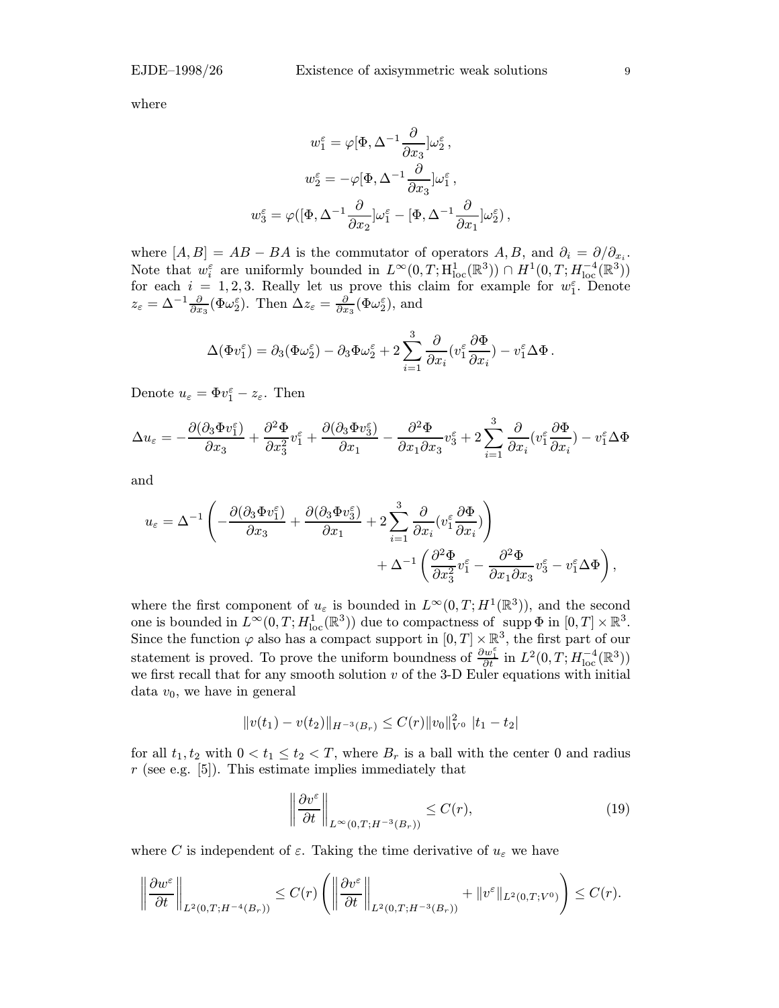where

$$
\begin{gathered} w_1^\varepsilon = \varphi[\Phi, \Delta^{-1}\frac{\partial}{\partial x_3}]\omega_2^\varepsilon\,,\\ w_2^\varepsilon = -\varphi[\Phi, \Delta^{-1}\frac{\partial}{\partial x_3}]\omega_1^\varepsilon\,,\\ w_3^\varepsilon = \varphi([\Phi, \Delta^{-1}\frac{\partial}{\partial x_2}]\omega_1^\varepsilon - [\Phi, \Delta^{-1}\frac{\partial}{\partial x_1}]\omega_2^\varepsilon)\,, \end{gathered}
$$

where  $[A, B] = AB - BA$  is the commutator of operators A, B, and  $\partial_i = \partial/\partial_{x_i}$ . Note that  $w_i^{\varepsilon}$  are uniformly bounded in  $L^{\infty}(0,T; \mathrm{H}^1_{\mathrm{loc}}(\mathbb{R}^3)) \cap H^1(0,T; H^{-4}_{\mathrm{loc}}(\mathbb{R}^3))$ for each  $i = 1, 2, 3$ . Really let us prove this claim for example for  $w_1^{\varepsilon}$ . Denote  $z_{\varepsilon} = \Delta^{-1} \frac{\partial}{\partial x_3} (\Phi \omega_2^{\varepsilon})$ . Then  $\Delta z_{\varepsilon} = \frac{\partial}{\partial x_3} (\Phi \omega_2^{\varepsilon})$ , and

$$
\Delta(\Phi v_1^{\varepsilon}) = \partial_3(\Phi \omega_2^{\varepsilon}) - \partial_3 \Phi \omega_2^{\varepsilon} + 2 \sum_{i=1}^3 \frac{\partial}{\partial x_i} (v_1^{\varepsilon} \frac{\partial \Phi}{\partial x_i}) - v_1^{\varepsilon} \Delta \Phi.
$$

Denote  $u_{\varepsilon} = \Phi v_1^{\varepsilon} - z_{\varepsilon}$ . Then

$$
\Delta u_{\varepsilon} = -\frac{\partial (\partial_3 \Phi v_1^{\varepsilon})}{\partial x_3} + \frac{\partial^2 \Phi}{\partial x_3^2} v_1^{\varepsilon} + \frac{\partial (\partial_3 \Phi v_3^{\varepsilon})}{\partial x_1} - \frac{\partial^2 \Phi}{\partial x_1 \partial x_3} v_3^{\varepsilon} + 2 \sum_{i=1}^3 \frac{\partial}{\partial x_i} (v_1^{\varepsilon} \frac{\partial \Phi}{\partial x_i}) - v_1^{\varepsilon} \Delta \Phi
$$

and

$$
u_{\varepsilon} = \Delta^{-1} \left( -\frac{\partial (\partial_3 \Phi v_1^{\varepsilon})}{\partial x_3} + \frac{\partial (\partial_3 \Phi v_3^{\varepsilon})}{\partial x_1} + 2 \sum_{i=1}^3 \frac{\partial}{\partial x_i} (v_1^{\varepsilon} \frac{\partial \Phi}{\partial x_i}) \right) + \Delta^{-1} \left( \frac{\partial^2 \Phi}{\partial x_3^2} v_1^{\varepsilon} - \frac{\partial^2 \Phi}{\partial x_1 \partial x_3} v_3^{\varepsilon} - v_1^{\varepsilon} \Delta \Phi \right),
$$

where the first component of  $u_{\varepsilon}$  is bounded in  $L^{\infty}(0,T;H^1(\mathbb{R}^3))$ , and the second one is bounded in  $L^{\infty}(0,T; H_{\text{loc}}^1(\mathbb{R}^3))$  due to compactness of supp  $\Phi$  in  $[0,T] \times \mathbb{R}^3$ . Since the function  $\varphi$  also has a compact support in  $[0, T] \times \mathbb{R}^3$ , the first part of our statement is proved. To prove the uniform boundness of  $\frac{\partial w_1^{\varepsilon}}{\partial t}$  in  $L^2(0,T;H^{-4}_{loc}(\mathbb{R}^3))$ we first recall that for any smooth solution  $v$  of the 3-D Euler equations with initial data  $v_0$ , we have in general

$$
||v(t_1) - v(t_2)||_{H^{-3}(B_r)} \leq C(r)||v_0||_{V^0}^2 ||t_1 - t_2||
$$

for all  $t_1, t_2$  with  $0 < t_1 \leq t_2 < T$ , where  $B_r$  is a ball with the center 0 and radius  $r$  (see e.g. [5]). This estimate implies immediately that

$$
\left\|\frac{\partial v^{\varepsilon}}{\partial t}\right\|_{L^{\infty}(0,T;H^{-3}(B_r))} \leq C(r),\tag{19}
$$

where C is independent of  $\varepsilon$ . Taking the time derivative of  $u_{\varepsilon}$  we have

$$
\left\|\frac{\partial w^{\varepsilon}}{\partial t}\right\|_{L^{2}(0,T;H^{-4}(B_{r}))} \leq C(r) \left(\left\|\frac{\partial v^{\varepsilon}}{\partial t}\right\|_{L^{2}(0,T;H^{-3}(B_{r}))} + \|v^{\varepsilon}\|_{L^{2}(0,T;V^{0})}\right) \leq C(r).
$$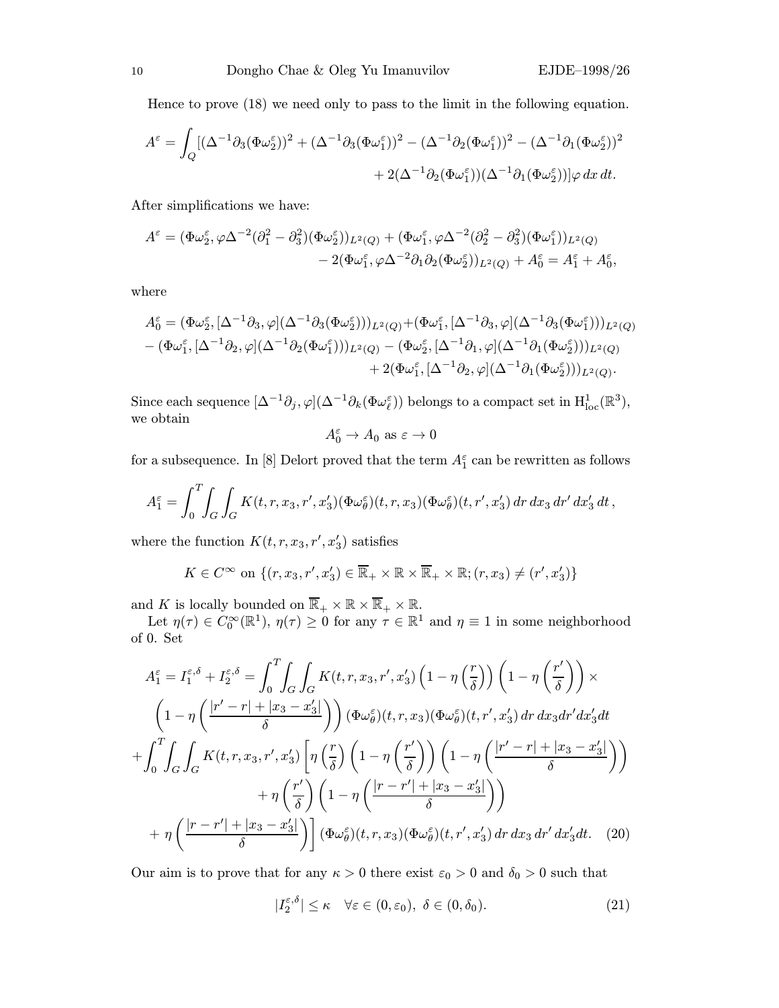Hence to prove (18) we need only to pass to the limit in the following equation.

$$
A^{\varepsilon} = \int_{Q} [(\Delta^{-1}\partial_{3}(\Phi\omega_{2}^{\varepsilon}))^{2} + (\Delta^{-1}\partial_{3}(\Phi\omega_{1}^{\varepsilon}))^{2} - (\Delta^{-1}\partial_{2}(\Phi\omega_{1}^{\varepsilon}))^{2} - (\Delta^{-1}\partial_{1}(\Phi\omega_{2}^{\varepsilon}))^{2} + 2(\Delta^{-1}\partial_{2}(\Phi\omega_{1}^{\varepsilon}))(\Delta^{-1}\partial_{1}(\Phi\omega_{2}^{\varepsilon}))]\varphi \,dx\,dt.
$$

After simplifications we have:

$$
A^{\varepsilon} = (\Phi\omega_2^{\varepsilon}, \varphi\Delta^{-2}(\partial_1^2 - \partial_3^2)(\Phi\omega_2^{\varepsilon}))_{L^2(Q)} + (\Phi\omega_1^{\varepsilon}, \varphi\Delta^{-2}(\partial_2^2 - \partial_3^2)(\Phi\omega_1^{\varepsilon}))_{L^2(Q)} - 2(\Phi\omega_1^{\varepsilon}, \varphi\Delta^{-2}\partial_1\partial_2(\Phi\omega_2^{\varepsilon}))_{L^2(Q)} + A_0^{\varepsilon} = A_1^{\varepsilon} + A_0^{\varepsilon},
$$

where

$$
A_0^{\varepsilon} = (\Phi \omega_2^{\varepsilon}, [\Delta^{-1} \partial_3, \varphi](\Delta^{-1} \partial_3 (\Phi \omega_2^{\varepsilon})))_{L^2(Q)} + (\Phi \omega_1^{\varepsilon}, [\Delta^{-1} \partial_3, \varphi](\Delta^{-1} \partial_3 (\Phi \omega_1^{\varepsilon})))_{L^2(Q)} - (\Phi \omega_1^{\varepsilon}, [\Delta^{-1} \partial_2, \varphi](\Delta^{-1} \partial_2 (\Phi \omega_1^{\varepsilon})))_{L^2(Q)} - (\Phi \omega_2^{\varepsilon}, [\Delta^{-1} \partial_1, \varphi](\Delta^{-1} \partial_1 (\Phi \omega_2^{\varepsilon})))_{L^2(Q)} + 2(\Phi \omega_1^{\varepsilon}, [\Delta^{-1} \partial_2, \varphi](\Delta^{-1} \partial_1 (\Phi \omega_2^{\varepsilon})))_{L^2(Q)}.
$$

Since each sequence  $[\Delta^{-1}\partial_j, \varphi](\Delta^{-1}\partial_k(\Phi\omega_\ell^{\varepsilon}))$  belongs to a compact set in  $H^1_{loc}(\mathbb{R}^3)$ , we obtain

$$
A_0^{\varepsilon} \to A_0
$$
 as  $\varepsilon \to 0$ 

for a subsequence. In [8] Delort proved that the term  $A_1^{\varepsilon}$  can be rewritten as follows

$$
A_1^{\varepsilon} = \int_0^T \int_G \int_G K(t, r, x_3, r', x'_3) (\Phi \omega_{\theta}^{\varepsilon}) (t, r, x_3) (\Phi \omega_{\theta}^{\varepsilon}) (t, r', x'_3) dr dx_3 dr' dx'_3 dt,
$$

where the function  $K(t, r, x_3, r', x'_3)$  satisfies

$$
K \in C^{\infty} \text{ on } \{(r, x_3, r', x'_3) \in \overline{\mathbb{R}}_+ \times \mathbb{R} \times \overline{\mathbb{R}}_+ \times \mathbb{R}; (r, x_3) \neq (r', x'_3)\}\
$$

and K is locally bounded on  $\overline{\mathbb{R}}_+ \times \mathbb{R} \times \overline{\mathbb{R}}_+ \times \mathbb{R}$ .

Let  $\eta(\tau) \in C_0^{\infty}(\mathbb{R}^1)$ ,  $\eta(\tau) \ge 0$  for any  $\tau \in \mathbb{R}^1$  and  $\eta \equiv 1$  in some neighborhood of 0. Set

$$
A_1^{\varepsilon} = I_1^{\varepsilon,\delta} + I_2^{\varepsilon,\delta} = \int_0^T \int_G \int_G K(t,r,x_3,r',x_3') \left(1 - \eta\left(\frac{r}{\delta}\right)\right) \left(1 - \eta\left(\frac{r'}{\delta}\right)\right) \times \left(1 - \eta\left(\frac{|r'-r| + |x_3 - x_3'|}{\delta}\right)\right) (\Phi \omega_{\theta}^{\varepsilon})(t,r,x_3) (\Phi \omega_{\theta}^{\varepsilon})(t,r',x_3') dr dx_3 dr' dx_3' dt + \int_0^T \int_G \int_G K(t,r,x_3,r',x_3') \left[\eta\left(\frac{r}{\delta}\right) \left(1 - \eta\left(\frac{r'}{\delta}\right)\right) \left(1 - \eta\left(\frac{|r'-r| + |x_3 - x_3'|}{\delta}\right)\right) \right. + \eta\left(\frac{r'}{\delta}\right) \left(1 - \eta\left(\frac{|r-r'| + |x_3 - x_3'|}{\delta}\right)\right) + \eta\left(\frac{|r-r'| + |x_3 - x_3'|}{\delta}\right) \left[\Phi \omega_{\theta}^{\varepsilon}(t,r,x_3) (\Phi \omega_{\theta}^{\varepsilon})(t,r',x_3') dr dx_3 dr' dx_3' dt. (20)
$$

Our aim is to prove that for any  $\kappa > 0$  there exist  $\varepsilon_0 > 0$  and  $\delta_0 > 0$  such that

$$
|I_2^{\varepsilon,\delta}| \le \kappa \quad \forall \varepsilon \in (0,\varepsilon_0), \ \delta \in (0,\delta_0). \tag{21}
$$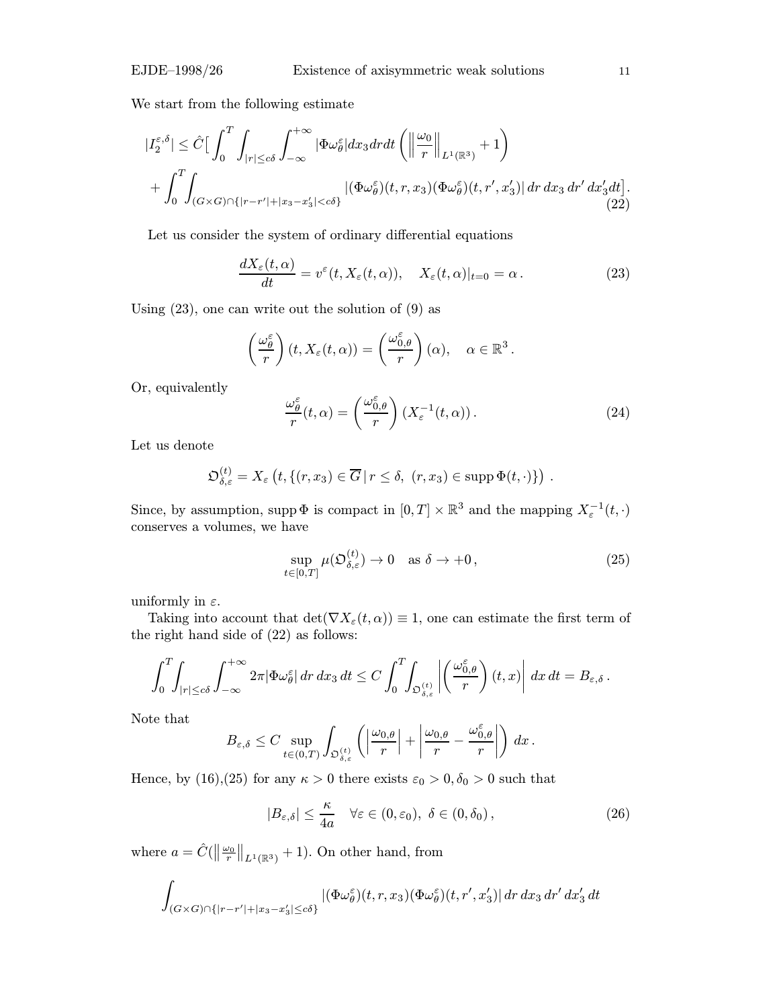We start from the following estimate

$$
\begin{split} |I_{2}^{\varepsilon,\delta}| &\leq \hat{C} \Big[ \int_{0}^{T} \int_{|r| \leq c\delta} \int_{-\infty}^{+\infty} |\Phi\omega_{\theta}^{\varepsilon}| dx_{3} dr dt \left( \left\| \frac{\omega_{0}}{r} \right\|_{L^{1}(\mathbb{R}^{3})} + 1 \right) \\ &+ \int_{0}^{T} \int_{(G \times G) \cap \{|r - r'| + |x_{3} - x'_{3}| < c\delta\}} |(\Phi\omega_{\theta}^{\varepsilon})(t,r,x_{3}) (\Phi\omega_{\theta}^{\varepsilon})(t,r',x'_{3})| dr dx_{3} dr' dx'_{3} dt \Big]. \end{split} \tag{22}
$$

Let us consider the system of ordinary differential equations

$$
\frac{dX_{\varepsilon}(t,\alpha)}{dt} = v^{\varepsilon}(t,X_{\varepsilon}(t,\alpha)), \quad X_{\varepsilon}(t,\alpha)|_{t=0} = \alpha.
$$
 (23)

Using  $(23)$ , one can write out the solution of  $(9)$  as

$$
\left(\frac{\omega_{\theta}^{\varepsilon}}{r}\right)(t, X_{\varepsilon}(t, \alpha)) = \left(\frac{\omega_{0, \theta}^{\varepsilon}}{r}\right)(\alpha), \quad \alpha \in \mathbb{R}^{3}.
$$

Or, equivalently

$$
\frac{\omega_{\theta}^{\varepsilon}}{r}(t,\alpha) = \left(\frac{\omega_{0,\theta}^{\varepsilon}}{r}\right) \left(X_{\varepsilon}^{-1}(t,\alpha)\right). \tag{24}
$$

Let us denote

$$
\mathfrak{O}^{(t)}_{\delta,\varepsilon}=X_{\varepsilon}\left(t,\{(r,x_3)\in\overline{G}\,|\,r\leq\delta,\ (r,x_3)\in\mathrm{supp}\,\Phi(t,\cdot)\}\right)\,.
$$

Since, by assumption, supp  $\Phi$  is compact in  $[0, T] \times \mathbb{R}^3$  and the mapping  $X_{\varepsilon}^{-1}(t, \cdot)$ conserves a volumes, we have

$$
\sup_{t \in [0,T]} \mu(\mathfrak{O}_{\delta,\varepsilon}^{(t)}) \to 0 \quad \text{as } \delta \to +0,
$$
\n(25)

uniformly in  $\varepsilon$ .

Taking into account that  $\det(\nabla X_\varepsilon(t,\alpha)) \equiv 1$ , one can estimate the first term of the right hand side of (22) as follows:

$$
\int_0^T \int_{|r| \leq c\delta} \int_{-\infty}^{+\infty} 2\pi |\Phi \omega_{\theta}^{\varepsilon}| \, dr \, dx_3 \, dt \leq C \int_0^T \int_{\mathfrak{O}_{\delta,\varepsilon}^{(t)}} \left| \left( \frac{\omega_{0,\theta}^{\varepsilon}}{r} \right) (t,x) \right| \, dx \, dt = B_{\varepsilon,\delta} \, .
$$

Note that

$$
B_{\varepsilon,\delta} \leq C \sup_{t \in (0,T)} \int_{\mathfrak{O}_{\delta,\varepsilon}^{(t)}} \left( \left| \frac{\omega_{0,\theta}}{r} \right| + \left| \frac{\omega_{0,\theta}}{r} - \frac{\omega_{0,\theta}^{\varepsilon}}{r} \right| \right) dx \, .
$$

Hence, by (16),(25) for any  $\kappa > 0$  there exists  $\varepsilon_0 > 0, \delta_0 > 0$  such that

$$
|B_{\varepsilon,\delta}| \leq \frac{\kappa}{4a} \quad \forall \varepsilon \in (0,\varepsilon_0), \ \delta \in (0,\delta_0), \tag{26}
$$

where  $a = \hat{C}(\left\|\frac{\omega_0}{r}\right\|_{L^1(\mathbb{R}^3)} + 1)$ . On other hand, from

$$
\int_{(G\times G)\cap\{|r-r'|+|x_3-x_3'|\leq c\delta\}} |(\Phi\omega_\theta^\varepsilon)(t,r,x_3)(\Phi\omega_\theta^\varepsilon)(t,r',x_3')| dr\,dx_3\,dr'\,dx_3'\,dt
$$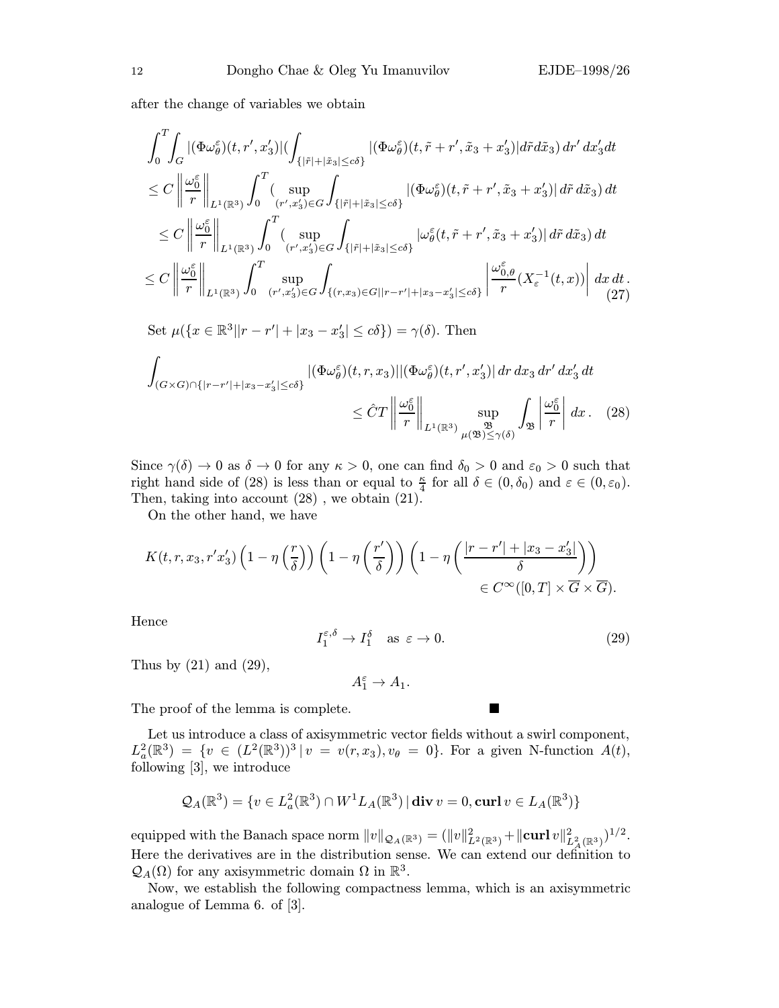after the change of variables we obtain

$$
\int_{0}^{T} \int_{G} |(\Phi \omega_{\theta}^{\varepsilon})(t, r', x'_{3})| \left( \int_{\{|\tilde{r}| + |\tilde{x}_{3}| \leq c\delta\}} |(\Phi \omega_{\theta}^{\varepsilon})(t, \tilde{r} + r', \tilde{x}_{3} + x'_{3})| d\tilde{r} d\tilde{x}_{3} ) dr' dx'_{3} dt \n\leq C \left\| \frac{\omega_{0}^{\varepsilon}}{r} \right\|_{L^{1}(\mathbb{R}^{3})} \int_{0}^{T} \left( \sup_{(r', x'_{3}) \in G} \int_{\{|\tilde{r}| + |\tilde{x}_{3}| \leq c\delta\}} |(\Phi \omega_{\theta}^{\varepsilon})(t, \tilde{r} + r', \tilde{x}_{3} + x'_{3})| d\tilde{r} d\tilde{x}_{3} ) dt \n\leq C \left\| \frac{\omega_{0}^{\varepsilon}}{r} \right\|_{L^{1}(\mathbb{R}^{3})} \int_{0}^{T} \left( \sup_{(r', x'_{3}) \in G} \int_{\{|\tilde{r}| + |\tilde{x}_{3}| \leq c\delta\}} |\omega_{\theta}^{\varepsilon}(t, \tilde{r} + r', \tilde{x}_{3} + x'_{3})| d\tilde{r} d\tilde{x}_{3} ) dt \n\leq C \left\| \frac{\omega_{0}^{\varepsilon}}{r} \right\|_{L^{1}(\mathbb{R}^{3})} \int_{0}^{T} \sup_{(r', x'_{3}) \in G} \int_{\{ (r, x_{3}) \in G | |r - r'| + |x_{3} - x'_{3}| \leq c\delta\}} \left| \frac{\omega_{0, \theta}^{\varepsilon}}{r} (X_{\varepsilon}^{-1}(t, x)) \right| dx dt \n(27)
$$

Set  $\mu({x \in \mathbb{R}^3 | |r - r'| + |x_3 - x_3'| \le c\delta}) = \gamma(\delta)$ . Then

$$
\int_{(G\times G)\cap\{|r-r'|+|x_3-x_3'|\leq c\delta\}} |(\Phi\omega_\theta^\varepsilon)(t,r,x_3)||(\Phi\omega_\theta^\varepsilon)(t,r',x_3')| dr dx_3 dr' dx_3' dt
$$
\n
$$
\leq \hat{C}T \left\|\frac{\omega_0^\varepsilon}{r}\right\|_{L^1(\mathbb{R}^3)} \sup_{\mu(\mathfrak{B})\leq \gamma(\delta)} \int_{\mathfrak{B}} \left|\frac{\omega_0^\varepsilon}{r}\right| dx. \quad (28)
$$

Since  $\gamma(\delta) \to 0$  as  $\delta \to 0$  for any  $\kappa > 0$ , one can find  $\delta_0 > 0$  and  $\varepsilon_0 > 0$  such that right hand side of (28) is less than or equal to  $\frac{\kappa}{4}$  for all  $\delta \in (0, \delta_0)$  and  $\varepsilon \in (0, \varepsilon_0)$ . Then, taking into account (28) , we obtain (21).

On the other hand, we have

$$
K(t, r, x_3, r'x_3')\left(1-\eta\left(\frac{r}{\delta}\right)\right)\left(1-\eta\left(\frac{r'}{\delta}\right)\right)\left(1-\eta\left(\frac{|r-r'|+|x_3-x_3'|}{\delta}\right)\right)
$$
  

$$
\in C^{\infty}([0, T] \times \overline{G} \times \overline{G}).
$$

Hence

$$
I_1^{\varepsilon,\delta} \to I_1^{\delta} \quad \text{as } \varepsilon \to 0. \tag{29}
$$

Thus by  $(21)$  and  $(29)$ ,

$$
A_1^{\varepsilon} \to A_1.
$$

The proof of the lemma is complete.

Let us introduce a class of axisymmetric vector fields without a swirl component,  $L^2_a(\mathbb{R}^3) = \{v \in (L^2(\mathbb{R}^3))^3 | v = v(r, x_3), v_{\theta} = 0\}.$  For a given N-function  $A(t)$ , following [3], we introduce

$$
\mathcal{Q}_A(\mathbb{R}^3) = \{v \in L^2_a(\mathbb{R}^3) \cap W^1 L_A(\mathbb{R}^3) | \operatorname{div} v = 0, \operatorname{curl} v \in L_A(\mathbb{R}^3) \}
$$

equipped with the Banach space norm  $||v||_{\mathcal{Q}_A(\mathbb{R}^3)} = (||v||^2_{L^2(\mathbb{R}^3)} + ||curl v||^2_{L^2_A(\mathbb{R}^3)})^{1/2}.$ Here the derivatives are in the distribution sense. We can extend our definition to  $\mathcal{Q}_A(\Omega)$  for any axisymmetric domain  $\Omega$  in  $\mathbb{R}^3$ .

Now, we establish the following compactness lemma, which is an axisymmetric analogue of Lemma 6. of [3].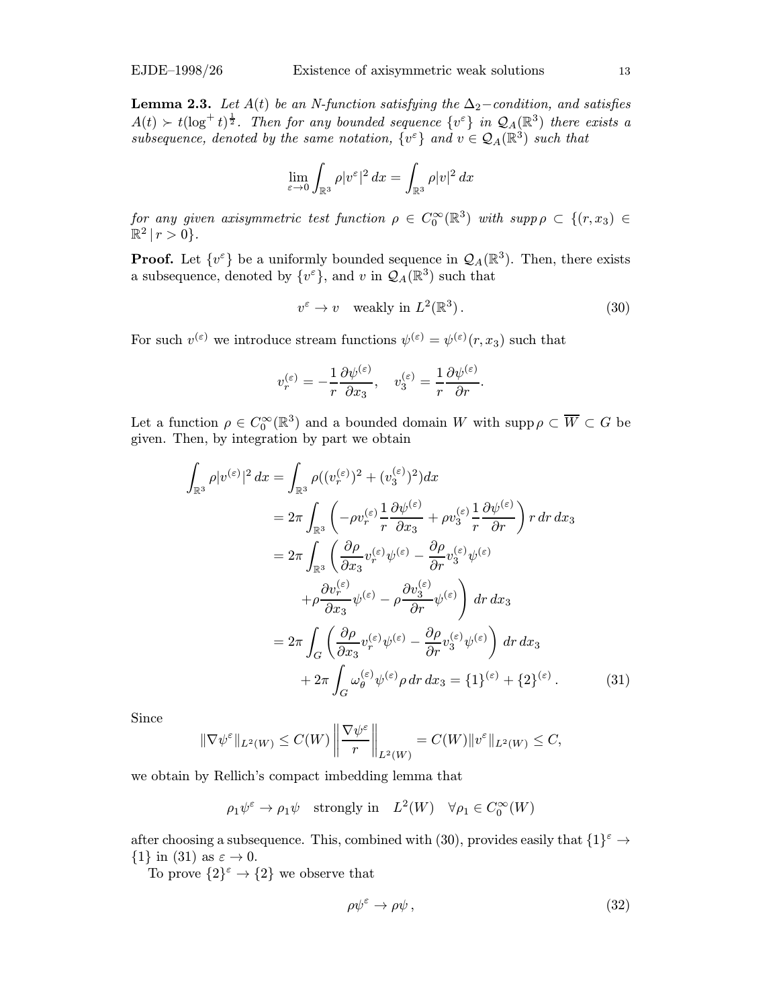**Lemma 2.3.** Let  $A(t)$  be an N-function satisfying the  $\Delta_2$ −condition, and satisfies  $A(t) \succ t(\log^+ t)^{\frac{1}{2}}$ . Then for any bounded sequence  $\{v^{\varepsilon}\}\$ in  $\mathcal{Q}_A(\mathbb{R}^3)$  there exists a subsequence, denoted by the same notation,  $\{v^{\varepsilon}\}\$  and  $v \in \mathcal{Q}_A(\mathbb{R}^3)$  such that

$$
\lim_{\varepsilon \to 0} \int_{\mathbb{R}^3} \rho |v^{\varepsilon}|^2 dx = \int_{\mathbb{R}^3} \rho |v|^2 dx
$$

for any given axisymmetric test function  $\rho \in C_0^{\infty}(\mathbb{R}^3)$  with  $supp \rho \subset \{(r, x_3) \in$  $\mathbb{R}^2 | r > 0$ .

**Proof.** Let  $\{v^{\varepsilon}\}\$ be a uniformly bounded sequence in  $\mathcal{Q}_A(\mathbb{R}^3)$ . Then, there exists a subsequence, denoted by  $\{v^{\varepsilon}\}\$ , and v in  $\mathcal{Q}_{A}(\mathbb{R}^{3})$  such that

$$
v^{\varepsilon} \to v \quad \text{weakly in } L^{2}(\mathbb{R}^{3}).\tag{30}
$$

For such  $v^{(\varepsilon)}$  we introduce stream functions  $\psi^{(\varepsilon)} = \psi^{(\varepsilon)}(r, x_3)$  such that

$$
v_r^{(\varepsilon)} = -\frac{1}{r} \frac{\partial \psi^{(\varepsilon)}}{\partial x_3}, \quad v_3^{(\varepsilon)} = \frac{1}{r} \frac{\partial \psi^{(\varepsilon)}}{\partial r}.
$$

Let a function  $\rho \in C_0^{\infty}(\mathbb{R}^3)$  and a bounded domain W with  $\text{supp}\,\rho \subset \overline{W} \subset G$  be given. Then, by integration by part we obtain

$$
\int_{\mathbb{R}^3} \rho |v^{(\varepsilon)}|^2 dx = \int_{\mathbb{R}^3} \rho ((v_r^{(\varepsilon)})^2 + (v_3^{(\varepsilon)})^2) dx
$$
  
\n
$$
= 2\pi \int_{\mathbb{R}^3} \left( -\rho v_r^{(\varepsilon)} \frac{1}{r} \frac{\partial \psi^{(\varepsilon)}}{\partial x_3} + \rho v_3^{(\varepsilon)} \frac{1}{r} \frac{\partial \psi^{(\varepsilon)}}{\partial r} \right) r dr dx_3
$$
  
\n
$$
= 2\pi \int_{\mathbb{R}^3} \left( \frac{\partial \rho}{\partial x_3} v_r^{(\varepsilon)} \psi^{(\varepsilon)} - \frac{\partial \rho}{\partial r} v_3^{(\varepsilon)} \psi^{(\varepsilon)}
$$
  
\n
$$
+ \rho \frac{\partial v_r^{(\varepsilon)}}{\partial x_3} \psi^{(\varepsilon)} - \rho \frac{\partial v_3^{(\varepsilon)}}{\partial r} \psi^{(\varepsilon)} \right) dr dx_3
$$
  
\n
$$
= 2\pi \int_G \left( \frac{\partial \rho}{\partial x_3} v_r^{(\varepsilon)} \psi^{(\varepsilon)} - \frac{\partial \rho}{\partial r} v_3^{(\varepsilon)} \psi^{(\varepsilon)} \right) dr dx_3
$$
  
\n
$$
+ 2\pi \int_G \omega_\theta^{(\varepsilon)} \psi^{(\varepsilon)} \rho dr dx_3 = \{1\}^{(\varepsilon)} + \{2\}^{(\varepsilon)}.
$$
 (31)

Since

$$
\|\nabla \psi^{\varepsilon}\|_{L^{2}(W)} \leq C(W) \left\|\frac{\nabla \psi^{\varepsilon}}{r}\right\|_{L^{2}(W)} = C(W) \|v^{\varepsilon}\|_{L^{2}(W)} \leq C,
$$

we obtain by Rellich's compact imbedding lemma that

 $\rho_1 \psi^\varepsilon \to \rho_1 \psi$  strongly in  $L^2(W)$   $\forall \rho_1 \in C_0^{\infty}(W)$ 

after choosing a subsequence. This, combined with (30), provides easily that  $\{1\}^{\varepsilon} \to$  $\{1\}$  in (31) as  $\varepsilon \to 0$ .

To prove  $\{2\}^{\varepsilon} \to \{2\}$  we observe that

$$
\rho \psi^{\varepsilon} \to \rho \psi \,, \tag{32}
$$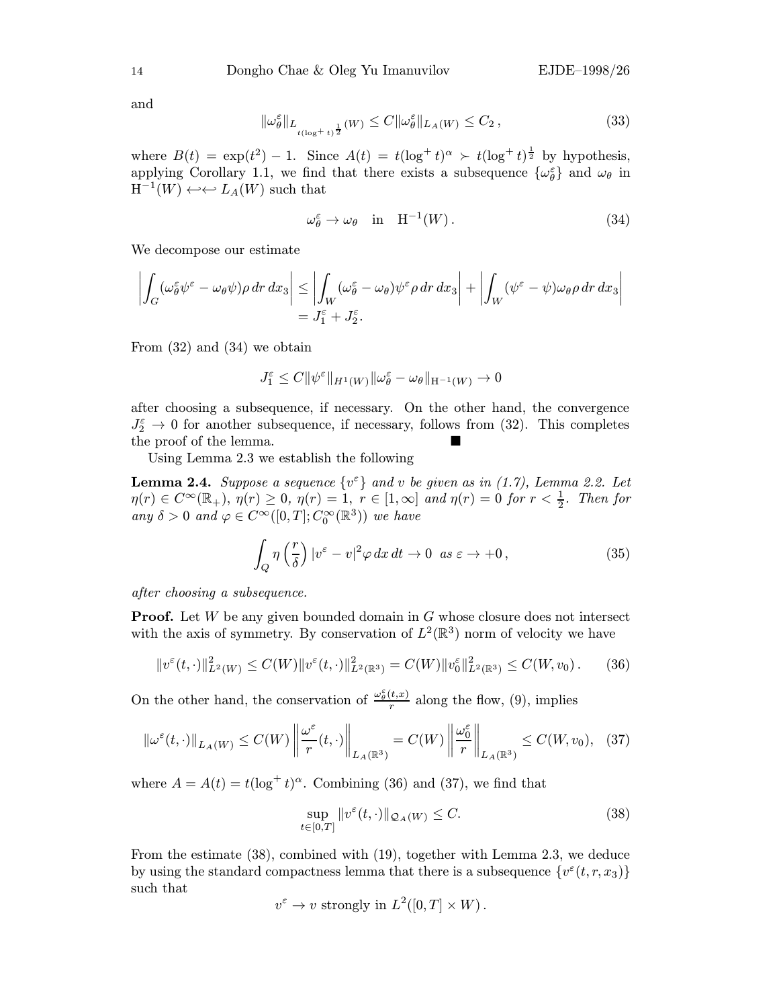and

$$
\|\omega_{\theta}^{\varepsilon}\|_{L_{t(\log t+t)^{\frac{1}{2}}}}(W) \leq C \|\omega_{\theta}^{\varepsilon}\|_{L_{A}(W)} \leq C_{2},\tag{33}
$$

where  $B(t) = \exp(t^2) - 1$ . Since  $A(t) = t(\log^+ t)^\alpha > t(\log^+ t)^{\frac{1}{2}}$  by hypothesis, applying Corollary 1.1, we find that there exists a subsequence  $\{\omega_{\theta}^{\varepsilon}\}\$  and  $\omega_{\theta}$  in  $H^{-1}(W) \leftrightarrow \hookleftarrow L_A(W)$  such that

$$
\omega_{\theta}^{\varepsilon} \to \omega_{\theta} \quad \text{in} \quad \mathcal{H}^{-1}(W) \,. \tag{34}
$$

We decompose our estimate

$$
\left| \int_G (\omega_\theta^\varepsilon \psi^\varepsilon - \omega_\theta \psi) \rho \, dr \, dx_3 \right| \leq \left| \int_W (\omega_\theta^\varepsilon - \omega_\theta) \psi^\varepsilon \rho \, dr \, dx_3 \right| + \left| \int_W (\psi^\varepsilon - \psi) \omega_\theta \rho \, dr \, dx_3 \right|
$$
  
=  $J_1^\varepsilon + J_2^\varepsilon$ .

From (32) and (34) we obtain

$$
J_1^\varepsilon\leq C\|\psi^\varepsilon\|_{H^1(W)}\|\omega^\varepsilon_\theta-\omega_\theta\|_{\mathcal{H}^{-1}(W)}\to 0
$$

after choosing a subsequence, if necessary. On the other hand, the convergence  $J_2^{\varepsilon} \to 0$  for another subsequence, if necessary, follows from (32). This completes the proof of the lemma.

Using Lemma 2.3 we establish the following

**Lemma 2.4.** Suppose a sequence  $\{v^{\varepsilon}\}\$  and v be given as in (1.7), Lemma 2.2. Let  $\eta(r) \in C^{\infty}(\mathbb{R}_+), \ \eta(r) \geq 0, \ \eta(r) = 1, \ r \in [1,\infty] \ and \ \eta(r) = 0 \ for \ r < \frac{1}{2}.$  Then for any  $\delta > 0$  and  $\varphi \in C^{\infty}([0, T]; C_0^{\infty}(\mathbb{R}^3))$  we have

$$
\int_{Q} \eta\left(\frac{r}{\delta}\right) |v^{\varepsilon} - v|^2 \varphi \, dx \, dt \to 0 \quad \text{as } \varepsilon \to +0 \,, \tag{35}
$$

after choosing a subsequence.

**Proof.** Let  $W$  be any given bounded domain in  $G$  whose closure does not intersect with the axis of symmetry. By conservation of  $L^2(\mathbb{R}^3)$  norm of velocity we have

$$
||v^{\varepsilon}(t,\cdot)||_{L^{2}(W)}^{2} \leq C(W)||v^{\varepsilon}(t,\cdot)||_{L^{2}(\mathbb{R}^{3})}^{2} = C(W)||v_{0}^{\varepsilon}||_{L^{2}(\mathbb{R}^{3})}^{2} \leq C(W,v_{0}). \tag{36}
$$

On the other hand, the conservation of  $\frac{\omega_{\theta}^{\varepsilon}(t,x)}{r}$  along the flow, (9), implies

$$
\left\|\omega^{\varepsilon}(t,\cdot)\right\|_{L_{A}(W)} \leq C(W)\left\|\frac{\omega^{\varepsilon}}{r}(t,\cdot)\right\|_{L_{A}(\mathbb{R}^{3})} = C(W)\left\|\frac{\omega^{\varepsilon}_{0}}{r}\right\|_{L_{A}(\mathbb{R}^{3})} \leq C(W,v_{0}), \quad (37)
$$

where  $A = A(t) = t(\log^+ t)^\alpha$ . Combining (36) and (37), we find that

$$
\sup_{t \in [0,T]} \|v^{\varepsilon}(t,\cdot)\|_{\mathcal{Q}_A(W)} \le C. \tag{38}
$$

From the estimate (38), combined with (19), together with Lemma 2.3, we deduce by using the standard compactness lemma that there is a subsequence  $\{v^{\varepsilon}(t, r, x_3)\}$ such that

$$
v^{\varepsilon} \to v
$$
 strongly in  $L^2([0,T] \times W)$ .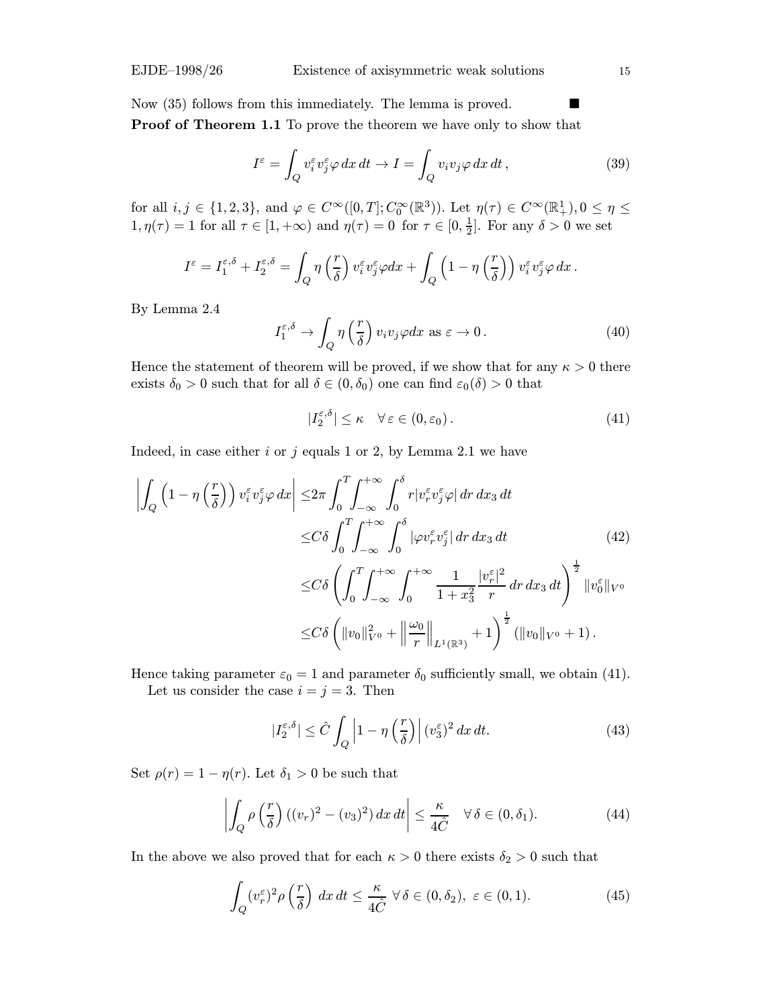Now (35) follows from this immediately. The lemma is proved.

Proof of Theorem 1.1 To prove the theorem we have only to show that

$$
I^{\varepsilon} = \int_{Q} v_{i}^{\varepsilon} v_{j}^{\varepsilon} \varphi \, dx \, dt \to I = \int_{Q} v_{i} v_{j} \varphi \, dx \, dt \,, \tag{39}
$$

for all  $i, j \in \{1, 2, 3\}$ , and  $\varphi \in C^{\infty}([0, T]; C_0^{\infty}(\mathbb{R}^3))$ . Let  $\eta(\tau) \in C^{\infty}(\mathbb{R}^1_+), 0 \leq \eta \leq \tau$  $1, \eta(\tau) = 1$  for all  $\tau \in [1, +\infty)$  and  $\eta(\tau) = 0$  for  $\tau \in [0, \frac{1}{2}]$ . For any  $\delta > 0$  we set

$$
I^{\varepsilon} = I_1^{\varepsilon,\delta} + I_2^{\varepsilon,\delta} = \int_Q \eta\left(\frac{r}{\delta}\right) v_i^{\varepsilon} v_j^{\varepsilon} \varphi dx + \int_Q \left(1 - \eta\left(\frac{r}{\delta}\right)\right) v_i^{\varepsilon} v_j^{\varepsilon} \varphi dx.
$$

By Lemma 2.4

$$
I_1^{\varepsilon,\delta} \to \int_Q \eta\left(\frac{r}{\delta}\right) v_i v_j \varphi dx \text{ as } \varepsilon \to 0. \tag{40}
$$

Hence the statement of theorem will be proved, if we show that for any  $\kappa > 0$  there exists  $\delta_0 > 0$  such that for all  $\delta \in (0, \delta_0)$  one can find  $\varepsilon_0(\delta) > 0$  that

$$
|I_2^{\varepsilon,\delta}| \le \kappa \quad \forall \,\varepsilon \in (0,\varepsilon_0). \tag{41}
$$

Indeed, in case either  $i$  or  $j$  equals 1 or 2, by Lemma 2.1 we have

$$
\left| \int_{Q} \left( 1 - \eta \left( \frac{r}{\delta} \right) \right) v_{i}^{\varepsilon} v_{j}^{\varepsilon} \varphi \, dx \right| \leq 2\pi \int_{0}^{T} \int_{-\infty}^{+\infty} \int_{0}^{\delta} r |v_{r}^{\varepsilon} v_{j}^{\varepsilon} \varphi| \, dr \, dx_{3} \, dt
$$
\n
$$
\leq C\delta \int_{0}^{T} \int_{-\infty}^{+\infty} \int_{0}^{\delta} |\varphi v_{r}^{\varepsilon} v_{j}^{\varepsilon}| \, dr \, dx_{3} \, dt \qquad (42)
$$
\n
$$
\leq C\delta \left( \int_{0}^{T} \int_{-\infty}^{+\infty} \int_{0}^{+\infty} \frac{1}{1 + x_{3}^{2}} \frac{|v_{r}^{\varepsilon}|^{2}}{r} \, dr \, dx_{3} \, dt \right)^{\frac{1}{2}} \|v_{0}^{\varepsilon}\|_{V^{0}}
$$
\n
$$
\leq C\delta \left( \|v_{0}\|_{V^{0}}^{2} + \left\|\frac{\omega_{0}}{r}\right\|_{L^{1}(\mathbb{R}^{3})} + 1 \right)^{\frac{1}{2}} (\|v_{0}\|_{V^{0}} + 1).
$$

Hence taking parameter  $\varepsilon_0 = 1$  and parameter  $\delta_0$  sufficiently small, we obtain (41). Let us consider the case  $i = j = 3$ . Then

$$
|I_2^{\varepsilon,\delta}| \leq \hat{C} \int_Q \left| 1 - \eta \left( \frac{r}{\delta} \right) \right| (v_3^{\varepsilon})^2 dx dt.
$$
 (43)

Set  $\rho(r)=1 - \eta(r)$ . Let  $\delta_1 > 0$  be such that

$$
\left| \int_{Q} \rho \left( \frac{r}{\delta} \right) ((v_r)^2 - (v_3)^2) \, dx \, dt \right| \le \frac{\kappa}{4\hat{C}} \quad \forall \, \delta \in (0, \delta_1). \tag{44}
$$

In the above we also proved that for each  $\kappa > 0$  there exists  $\delta_2 > 0$  such that

$$
\int_{Q} (v_r^{\varepsilon})^2 \rho\left(\frac{r}{\delta}\right) dx dt \le \frac{\kappa}{4\hat{C}} \ \forall \delta \in (0, \delta_2), \ \varepsilon \in (0, 1). \tag{45}
$$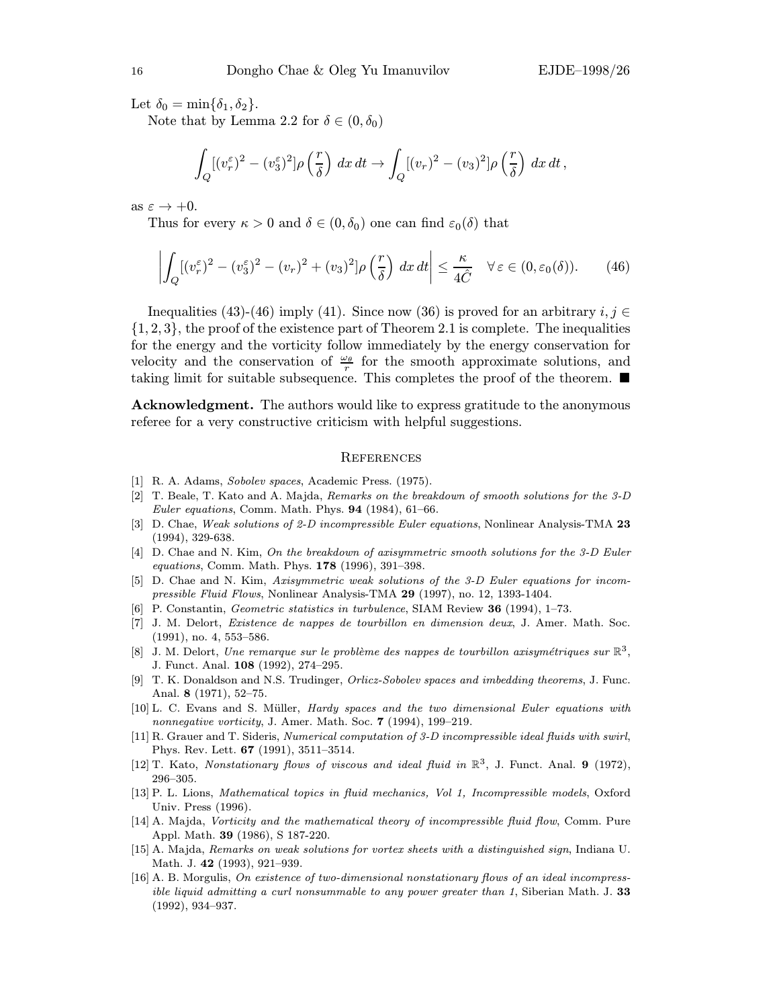Let  $\delta_0 = \min{\{\delta_1, \delta_2\}}$ .

Note that by Lemma 2.2 for  $\delta \in (0, \delta_0)$ 

$$
\int_{Q} [(v_r^{\varepsilon})^2 - (v_3^{\varepsilon})^2] \rho\left(\frac{r}{\delta}\right) dx dt \to \int_{Q} [(v_r)^2 - (v_3)^2] \rho\left(\frac{r}{\delta}\right) dx dt,
$$

as  $\varepsilon \to +0$ .

Thus for every  $\kappa > 0$  and  $\delta \in (0, \delta_0)$  one can find  $\varepsilon_0(\delta)$  that

$$
\left| \int_{Q} [(v_r^{\varepsilon})^2 - (v_3^{\varepsilon})^2 - (v_r)^2 + (v_3)^2] \rho \left( \frac{r}{\delta} \right) dx dt \right| \leq \frac{\kappa}{4\hat{C}} \quad \forall \varepsilon \in (0, \varepsilon_0(\delta)). \tag{46}
$$

Inequalities (43)-(46) imply (41). Since now (36) is proved for an arbitrary  $i, j \in$  $\{1, 2, 3\}$ , the proof of the existence part of Theorem 2.1 is complete. The inequalities for the energy and the vorticity follow immediately by the energy conservation for velocity and the conservation of  $\frac{\omega_\theta}{r}$  for the smooth approximate solutions, and taking limit for suitable subsequence. This completes the proof of the theorem.  $\blacksquare$ 

Acknowledgment. The authors would like to express gratitude to the anonymous referee for a very constructive criticism with helpful suggestions.

#### **REFERENCES**

- [1] R. A. Adams, Sobolev spaces, Academic Press. (1975).
- [2] T. Beale, T. Kato and A. Majda, Remarks on the breakdown of smooth solutions for the 3-D Euler equations, Comm. Math. Phys. 94 (1984), 61–66.
- [3] D. Chae, Weak solutions of 2-D incompressible Euler equations, Nonlinear Analysis-TMA 23 (1994), 329-638.
- [4] D. Chae and N. Kim, On the breakdown of axisymmetric smooth solutions for the 3-D Euler equations, Comm. Math. Phys. 178 (1996), 391–398.
- [5] D. Chae and N. Kim, Axisymmetric weak solutions of the 3-D Euler equations for incompressible Fluid Flows, Nonlinear Analysis-TMA 29 (1997), no. 12, 1393-1404.
- [6] P. Constantin, Geometric statistics in turbulence, SIAM Review 36 (1994), 1–73.
- [7] J. M. Delort, Existence de nappes de tourbillon en dimension deux, J. Amer. Math. Soc. (1991), no. 4, 553–586.
- [8] J. M. Delort, Une remarque sur le problème des nappes de tourbillon axisymétriques sur  $\mathbb{R}^3$ , J. Funct. Anal. 108 (1992), 274–295.
- [9] T. K. Donaldson and N.S. Trudinger, *Orlicz-Sobolev spaces and imbedding theorems*, J. Func. Anal. 8 (1971), 52–75.
- [10] L. C. Evans and S. M¨uller, Hardy spaces and the two dimensional Euler equations with nonnegative vorticity, J. Amer. Math. Soc. 7 (1994), 199-219.
- [11] R. Grauer and T. Sideris, Numerical computation of 3-D incompressible ideal fluids with swirl, Phys. Rev. Lett. 67 (1991), 3511–3514.
- [12] T. Kato, Nonstationary flows of viscous and ideal fluid in  $\mathbb{R}^3$ , J. Funct. Anal. 9 (1972), 296–305.
- [13] P. L. Lions, Mathematical topics in fluid mechanics, Vol 1, Incompressible models, Oxford Univ. Press (1996).
- [14] A. Majda, Vorticity and the mathematical theory of incompressible fluid flow, Comm. Pure Appl. Math. 39 (1986), S 187-220.
- [15] A. Majda, Remarks on weak solutions for vortex sheets with a distinguished sign, Indiana U. Math. J. 42 (1993), 921–939.
- [16] A. B. Morgulis, On existence of two-dimensional nonstationary flows of an ideal incompress*ible liquid admitting a curl nonsummable to any power greater than 1*, Siberian Math. J.  $33$ (1992), 934–937.